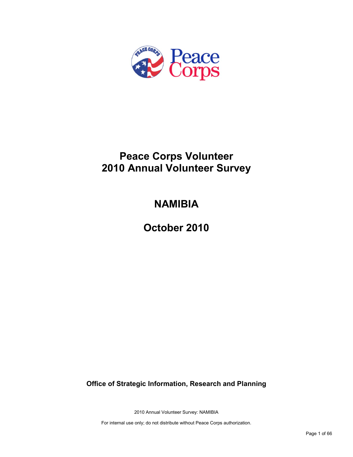

# **Peace Corps Volunteer 2010 Annual Volunteer Survey**

# **NAMIBIA**

**October 2010**

**Office of Strategic Information, Research and Planning**

2010 Annual Volunteer Survey: NAMIBIA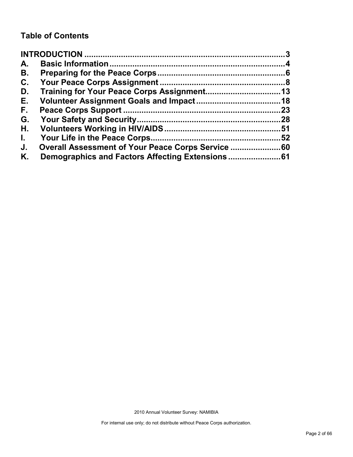# **Table of Contents**

| A.           |                                                |     |
|--------------|------------------------------------------------|-----|
| В.           |                                                |     |
| C.           |                                                |     |
| D.           |                                                |     |
| Е.           |                                                |     |
| F.           |                                                | .23 |
| G.           |                                                |     |
| Η.           |                                                |     |
| $\mathbf{L}$ |                                                |     |
| J.           | Overall Assessment of Your Peace Corps Service |     |
| Κ.           |                                                |     |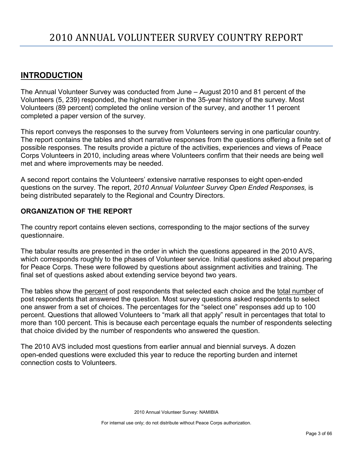# <span id="page-2-0"></span>**INTRODUCTION**

The Annual Volunteer Survey was conducted from June – August 2010 and 81 percent of the Volunteers (5, 239) responded, the highest number in the 35-year history of the survey. Most Volunteers (89 percent) completed the online version of the survey, and another 11 percent completed a paper version of the survey.

This report conveys the responses to the survey from Volunteers serving in one particular country. The report contains the tables and short narrative responses from the questions offering a finite set of possible responses. The results provide a picture of the activities, experiences and views of Peace Corps Volunteers in 2010, including areas where Volunteers confirm that their needs are being well met and where improvements may be needed.

A second report contains the Volunteers' extensive narrative responses to eight open-ended questions on the survey. The report, *2010 Annual Volunteer Survey Open Ended Responses,* is being distributed separately to the Regional and Country Directors.

## **ORGANIZATION OF THE REPORT**

The country report contains eleven sections, corresponding to the major sections of the survey questionnaire.

The tabular results are presented in the order in which the questions appeared in the 2010 AVS, which corresponds roughly to the phases of Volunteer service. Initial questions asked about preparing for Peace Corps. These were followed by questions about assignment activities and training. The final set of questions asked about extending service beyond two years.

The tables show the percent of post respondents that selected each choice and the total number of post respondents that answered the question. Most survey questions asked respondents to select one answer from a set of choices. The percentages for the "select one" responses add up to 100 percent. Questions that allowed Volunteers to "mark all that apply" result in percentages that total to more than 100 percent. This is because each percentage equals the number of respondents selecting that choice divided by the number of respondents who answered the question.

The 2010 AVS included most questions from earlier annual and biennial surveys. A dozen open-ended questions were excluded this year to reduce the reporting burden and internet connection costs to Volunteers.

2010 Annual Volunteer Survey: NAMIBIA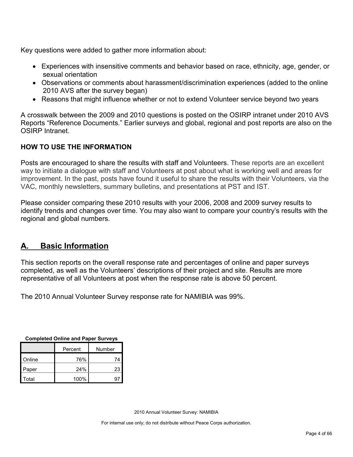Key questions were added to gather more information about:

- Experiences with insensitive comments and behavior based on race, ethnicity, age, gender, or sexual orientation
- Observations or comments about harassment/discrimination experiences (added to the online 2010 AVS after the survey began)
- Reasons that might influence whether or not to extend Volunteer service beyond two years

A crosswalk between the 2009 and 2010 questions is posted on the OSIRP intranet under 2010 AVS Reports "Reference Documents." Earlier surveys and global, regional and post reports are also on the OSIRP Intranet.

# **HOW TO USE THE INFORMATION**

Posts are encouraged to share the results with staff and Volunteers. These reports are an excellent way to initiate a dialogue with staff and Volunteers at post about what is working well and areas for improvement. In the past, posts have found it useful to share the results with their Volunteers, via the VAC, monthly newsletters, summary bulletins, and presentations at PST and IST.

Please consider comparing these 2010 results with your 2006, 2008 and 2009 survey results to identify trends and changes over time. You may also want to compare your country's results with the regional and global numbers.

# <span id="page-3-0"></span>**A. Basic Information**

This section reports on the overall response rate and percentages of online and paper surveys completed, as well as the Volunteers' descriptions of their project and site. Results are more representative of all Volunteers at post when the response rate is above 50 percent.

The 2010 Annual Volunteer Survey response rate for NAMIBIA was 99%.

| <b>Completed Online and Paper Surveys</b> |         |        |  |  |  |  |
|-------------------------------------------|---------|--------|--|--|--|--|
|                                           | Percent | Number |  |  |  |  |
|                                           |         |        |  |  |  |  |

|        | Percent | Number |
|--------|---------|--------|
| Online | 76%     | 74     |
| Paper  | 24%     | 23     |
| Total  | 100%    |        |

2010 Annual Volunteer Survey: NAMIBIA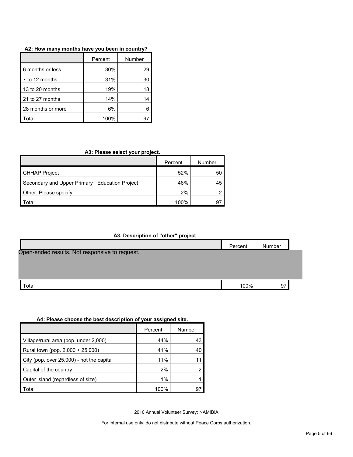| A2: How many months have you been in country? |  |  |  |  |  |  |  |  |  |  |
|-----------------------------------------------|--|--|--|--|--|--|--|--|--|--|
|-----------------------------------------------|--|--|--|--|--|--|--|--|--|--|

|                   | Percent | Number |
|-------------------|---------|--------|
| 6 months or less  | 30%     | 29     |
| 7 to 12 months    | 31%     | 30     |
| 13 to 20 months   | 19%     | 18     |
| 21 to 27 months   | 14%     | 14     |
| 28 months or more | 6%      |        |
| <b>Fotal</b>      | 100%    |        |

#### **A3: Please select your project.**

|                                               | Percent | Number |
|-----------------------------------------------|---------|--------|
| <b>CHHAP Project</b>                          | 52%     | 50     |
| Secondary and Upper Primary Education Project | 46%     | 45     |
| Other. Please specify                         | 2%      |        |
| Total                                         | 100%    | 97     |

#### **A3. Description of "other" project**

|                                                | Percent | Number |  |
|------------------------------------------------|---------|--------|--|
| Open-ended results. Not responsive to request. |         |        |  |
|                                                |         |        |  |
|                                                |         |        |  |
| Total                                          | 100%    | 97     |  |

#### **A4: Please choose the best description of your assigned site.**

|                                           | Percent | Number |
|-------------------------------------------|---------|--------|
| Village/rural area (pop. under 2,000)     | 44%     | 43     |
| Rural town (pop. 2,000 + 25,000)          | 41%     | 40     |
| City (pop. over 25,000) - not the capital | 11%     |        |
| Capital of the country                    | 2%      |        |
| Outer island (regardless of size)         | $1\%$   |        |
| Total                                     | 100%    | 9      |

2010 Annual Volunteer Survey: NAMIBIA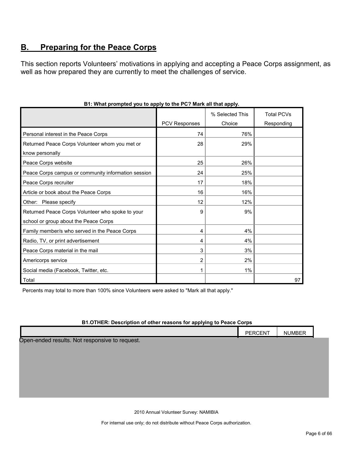# <span id="page-5-0"></span>**B. Preparing for the Peace Corps**

This section reports Volunteers' motivations in applying and accepting a Peace Corps assignment, as well as how prepared they are currently to meet the challenges of service.

|                                                     |               | % Selected This | <b>Total PCVs</b> |
|-----------------------------------------------------|---------------|-----------------|-------------------|
|                                                     | PCV Responses | Choice          | Responding        |
| Personal interest in the Peace Corps                | 74            | 76%             |                   |
| Returned Peace Corps Volunteer whom you met or      | 28            | 29%             |                   |
| know personally                                     |               |                 |                   |
| Peace Corps website                                 | 25            | 26%             |                   |
| Peace Corps campus or community information session | 24            | 25%             |                   |
| Peace Corps recruiter                               | 17            | 18%             |                   |
| Article or book about the Peace Corps               | 16            | 16%             |                   |
| Other: Please specify                               | 12            | 12%             |                   |
| Returned Peace Corps Volunteer who spoke to your    | 9             | 9%              |                   |
| school or group about the Peace Corps               |               |                 |                   |
| Family member/s who served in the Peace Corps       | 4             | 4%              |                   |
| Radio, TV, or print advertisement                   | 4             | 4%              |                   |
| Peace Corps material in the mail                    | 3             | 3%              |                   |
| Americorps service                                  | 2             | 2%              |                   |
| Social media (Facebook, Twitter, etc.               |               | $1\%$           |                   |
| Total                                               |               |                 | 97                |

#### **B1: What prompted you to apply to the PC? Mark all that apply.**

Percents may total to more than 100% since Volunteers were asked to "Mark all that apply."

#### **B1.OTHER: Description of other reasons for applying to Peace Corps**

|                                                | PERCENT | NUMBER |  |
|------------------------------------------------|---------|--------|--|
| Open-ended results. Not responsive to request. |         |        |  |
|                                                |         |        |  |
|                                                |         |        |  |
|                                                |         |        |  |
|                                                |         |        |  |
|                                                |         |        |  |
|                                                |         |        |  |

2010 Annual Volunteer Survey: NAMIBIA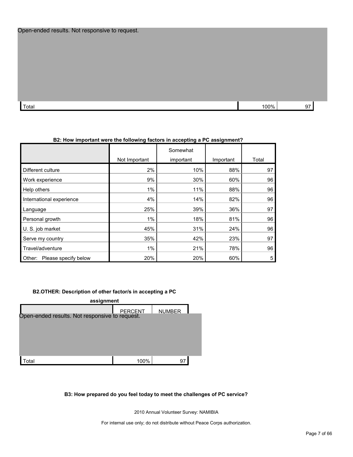Total 100% 97  $\sim$  100% 97  $\sim$  100% 97  $\sim$  100% 97  $\sim$  100% 97  $\sim$  97  $\sim$  100% 97  $\sim$  97  $\sim$  100% 97  $\sim$  97  $\sim$  100% 97  $\sim$  97  $\sim$  100% 97  $\sim$  97  $\sim$  100% 97  $\sim$  97  $\sim$  100% 97  $\sim$  97  $\sim$  100  $\sim$  97  $\sim$ 

|                                | Not Important | Somewhat<br>important | Important | Total |
|--------------------------------|---------------|-----------------------|-----------|-------|
| Different culture              | 2%            | 10%                   | 88%       | 97    |
| Work experience                | 9%            | 30%                   | 60%       | 96    |
| Help others                    | 1%            | 11%                   | 88%       | 96    |
| International experience       | 4%            | 14%                   | 82%       | 96    |
| Language                       | 25%           | 39%                   | 36%       | 97    |
| Personal growth                | 1%            | 18%                   | 81%       | 96    |
| U. S. job market               | 45%           | 31%                   | 24%       | 96    |
| Serve my country               | 35%           | 42%                   | 23%       | 97    |
| Travel/adventure               | $1\%$         | 21%                   | 78%       | 96    |
| Please specify below<br>Other: | 20%           | 20%                   | 60%       | 5     |

#### **B2: How important were the following factors in accepting a PC assignment?**

#### **B2.OTHER: Description of other factor/s in accepting a PC**

| assignment                                     |                |               |  |  |
|------------------------------------------------|----------------|---------------|--|--|
|                                                | <b>PERCENT</b> | <b>NUMBER</b> |  |  |
| Open-ended results. Not responsive to request. |                |               |  |  |
|                                                |                |               |  |  |
|                                                |                |               |  |  |
|                                                |                |               |  |  |
| ʻotal                                          | 100%           | 97            |  |  |

#### **B3: How prepared do you feel today to meet the challenges of PC service?**

2010 Annual Volunteer Survey: NAMIBIA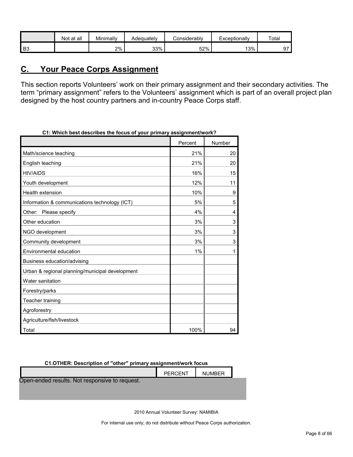|    | Not at all | Minimally | Adequatelv | ≿onsiderablv | Exceptionally | Total |
|----|------------|-----------|------------|--------------|---------------|-------|
| B3 |            | 2%        | 33%        | 52%          | 13%           | ∼~    |

# <span id="page-7-0"></span>**C. Your Peace Corps Assignment**

This section reports Volunteers' work on their primary assignment and their secondary activities. The term "primary assignment" refers to the Volunteers' assignment which is part of an overall project plan designed by the host country partners and in-country Peace Corps staff.

| o i. William best describes the locus of your primary assignment/work: |         |        |
|------------------------------------------------------------------------|---------|--------|
|                                                                        | Percent | Number |
| Math/science teaching                                                  | 21%     | 20     |
| English teaching                                                       | 21%     | 20     |
| <b>HIV/AIDS</b>                                                        | 16%     | 15     |
| Youth development                                                      | 12%     | 11     |
| <b>Health extension</b>                                                | 10%     | 9      |
| Information & communications technology (ICT)                          | 5%      | 5      |
| Other: Please specify                                                  | 4%      | 4      |
| Other education                                                        | 3%      | 3      |
| NGO development                                                        | 3%      | 3      |
| Community development                                                  | 3%      | 3      |
| Environmental education                                                | 1%      | 1      |
| Business education/advising                                            |         |        |
| Urban & regional planning/municipal development                        |         |        |
| Water sanitation                                                       |         |        |
| Forestry/parks                                                         |         |        |
| Teacher training                                                       |         |        |
| Agroforestry                                                           |         |        |
| Agriculture/fish/livestock                                             |         |        |
| Total                                                                  | 100%    | 94     |

**C1: Which best describes the focus of your primary assignment/work?**

**C1.OTHER: Description of "other" primary assignment/work focus**

|                                                | PERCENT | <b>NUMBER</b> |  |
|------------------------------------------------|---------|---------------|--|
| Open-ended results. Not responsive to request. |         |               |  |
|                                                |         |               |  |

2010 Annual Volunteer Survey: NAMIBIA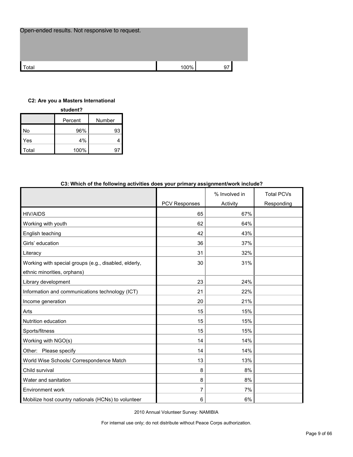| Open-ended results. Not responsive to request. |      |    |
|------------------------------------------------|------|----|
|                                                |      |    |
| Total                                          | 100% | 97 |

#### **C2: Are you a Masters International**

| student?          |      |    |  |  |  |  |
|-------------------|------|----|--|--|--|--|
| Number<br>Percent |      |    |  |  |  |  |
| No                | 96%  | 93 |  |  |  |  |
| Yes               | 4%   |    |  |  |  |  |
| Total             | 100% |    |  |  |  |  |

| oo. which or the following activities does your primary assignment work include: |               |               |                   |
|----------------------------------------------------------------------------------|---------------|---------------|-------------------|
|                                                                                  |               | % Involved in | <b>Total PCVs</b> |
|                                                                                  | PCV Responses | Activity      | Responding        |
| <b>HIV/AIDS</b>                                                                  | 65            | 67%           |                   |
| Working with youth                                                               | 62            | 64%           |                   |
| English teaching                                                                 | 42            | 43%           |                   |
| Girls' education                                                                 | 36            | 37%           |                   |
| Literacy                                                                         | 31            | 32%           |                   |
| Working with special groups (e.g., disabled, elderly,                            | 30            | 31%           |                   |
| ethnic minorities, orphans)                                                      |               |               |                   |
| Library development                                                              | 23            | 24%           |                   |
| Information and communications technology (ICT)                                  | 21            | 22%           |                   |
| Income generation                                                                | 20            | 21%           |                   |
| Arts                                                                             | 15            | 15%           |                   |
| Nutrition education                                                              | 15            | 15%           |                   |
| Sports/fitness                                                                   | 15            | 15%           |                   |
| Working with NGO(s)                                                              | 14            | 14%           |                   |
| Other: Please specify                                                            | 14            | 14%           |                   |
| World Wise Schools/ Correspondence Match                                         | 13            | 13%           |                   |
| Child survival                                                                   | 8             | 8%            |                   |
| Water and sanitation                                                             | 8             | 8%            |                   |
| Environment work                                                                 | 7             | 7%            |                   |
| Mobilize host country nationals (HCNs) to volunteer                              | 6             | 6%            |                   |

#### **C3: Which of the following activities does your primary assignment/work include?**

2010 Annual Volunteer Survey: NAMIBIA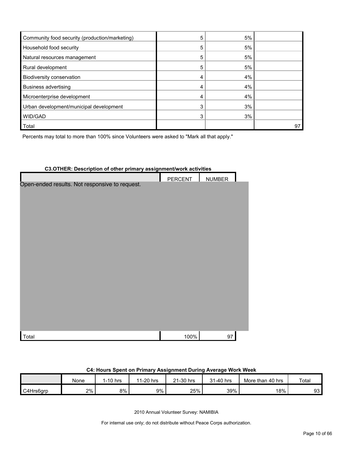| Community food security (production/marketing) | 5 | 5% |    |
|------------------------------------------------|---|----|----|
| Household food security                        | 5 | 5% |    |
| Natural resources management                   | 5 | 5% |    |
| Rural development                              |   | 5% |    |
| Biodiversity conservation                      |   | 4% |    |
| Business advertising                           |   | 4% |    |
| Microenterprise development                    |   | 4% |    |
| Urban development/municipal development        |   | 3% |    |
| WID/GAD                                        |   | 3% |    |
| <b>Total</b>                                   |   |    | 97 |

Percents may total to more than 100% since Volunteers were asked to "Mark all that apply."

# **C3.OTHER: Description of other primary assignment/work activities** PERCENT | NUMBER Total 100% 97 Open-ended results. Not responsive to request.

#### **C4: Hours Spent on Primary Assignment During Average Work Week**

|           | None | $1-10$ hrs | 1-20 hrs<br>44 | 21-30 hrs | 31-40 hrs | More than 40 hrs | Tota <sub>i</sub> |
|-----------|------|------------|----------------|-----------|-----------|------------------|-------------------|
| C4Hrs6grp | 2%   | 8%         | 9%             | 25%       | 39%       | 18%              | 93                |

2010 Annual Volunteer Survey: NAMIBIA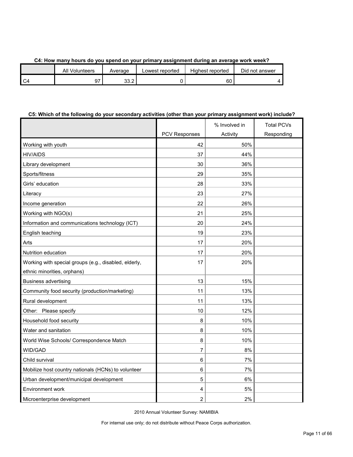|  |  |  |  | C4: How many hours do you spend on your primary assignment during an average work week? |
|--|--|--|--|-----------------------------------------------------------------------------------------|
|  |  |  |  |                                                                                         |

|                | All<br>Volunteers | Average      | owest reported. | Highest reported | Did not answer |
|----------------|-------------------|--------------|-----------------|------------------|----------------|
| C <sub>4</sub> |                   | າາ າ<br>ے. ب |                 | 60               |                |

#### **C5: Which of the following do your secondary activities (other than your primary assignment work) include?**

|                                                       |                      | % Involved in | <b>Total PCVs</b> |
|-------------------------------------------------------|----------------------|---------------|-------------------|
|                                                       | <b>PCV Responses</b> | Activity      | Responding        |
| Working with youth                                    | 42                   | 50%           |                   |
| <b>HIV/AIDS</b>                                       | 37                   | 44%           |                   |
| Library development                                   | 30                   | 36%           |                   |
| Sports/fitness                                        | 29                   | 35%           |                   |
| Girls' education                                      | 28                   | 33%           |                   |
| Literacy                                              | 23                   | 27%           |                   |
| Income generation                                     | 22                   | 26%           |                   |
| Working with NGO(s)                                   | 21                   | 25%           |                   |
| Information and communications technology (ICT)       | 20                   | 24%           |                   |
| English teaching                                      | 19                   | 23%           |                   |
| Arts                                                  | 17                   | 20%           |                   |
| Nutrition education                                   | 17                   | 20%           |                   |
| Working with special groups (e.g., disabled, elderly, | 17                   | 20%           |                   |
| ethnic minorities, orphans)                           |                      |               |                   |
| <b>Business advertising</b>                           | 13                   | 15%           |                   |
| Community food security (production/marketing)        | 11                   | 13%           |                   |
| Rural development                                     | 11                   | 13%           |                   |
| Other: Please specify                                 | 10                   | 12%           |                   |
| Household food security                               | 8                    | 10%           |                   |
| Water and sanitation                                  | 8                    | 10%           |                   |
| World Wise Schools/ Correspondence Match              | 8                    | 10%           |                   |
| WID/GAD                                               | 7                    | 8%            |                   |
| Child survival                                        | 6                    | 7%            |                   |
| Mobilize host country nationals (HCNs) to volunteer   | 6                    | 7%            |                   |
| Urban development/municipal development               | 5                    | 6%            |                   |
| Environment work                                      | 4                    | 5%            |                   |
| Microenterprise development                           | $\overline{2}$       | 2%            |                   |

2010 Annual Volunteer Survey: NAMIBIA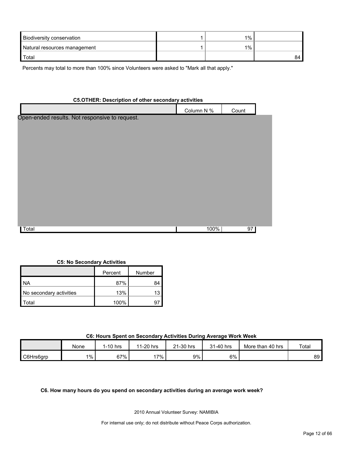| Biodiversity conservation    | $1\%$ |    |
|------------------------------|-------|----|
| Natural resources management | 1%    |    |
| Total                        |       | 84 |

Percents may total to more than 100% since Volunteers were asked to "Mark all that apply."

# **C5.OTHER: Description of other secondary activities** Column N % Count  $\sf Total$  100% 97  $\sf 97$ Open-ended results. Not responsive to request.

#### **C5: No Secondary Activities**

|                         | Percent | Number |
|-------------------------|---------|--------|
| I NA                    | 87%     | 84     |
| No secondary activities | 13%     | 13     |
| otal`                   | 100%    |        |

#### **C6: Hours Spent on Secondary Activities During Average Work Week**

|           | None | $1-10$ hrs | 1-20 hrs<br>- 4 | 1-30 hrs<br>$\sim$<br>▵ | 1-40 hrs<br>04 | More than 40 hrs | Total |
|-----------|------|------------|-----------------|-------------------------|----------------|------------------|-------|
| C6Hrs6grp | 1%   | 67%        | $7\%$           | 9%                      | 6%             |                  | 89    |

**C6. How many hours do you spend on secondary activities during an average work week?**

2010 Annual Volunteer Survey: NAMIBIA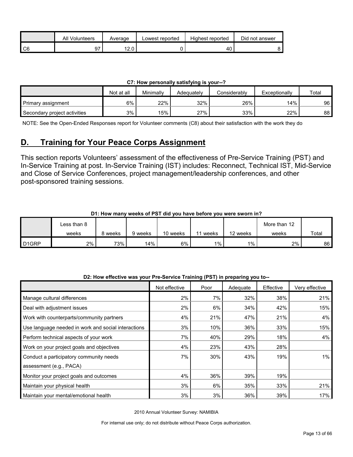|    | All<br>Volunteers | Average     | Lowest reported | Highest reported | Did not answer |
|----|-------------------|-------------|-----------------|------------------|----------------|
| C6 | ~-                | 10<br>$- -$ |                 | 40               |                |

| C7: How personally satisfying is your--? |  |
|------------------------------------------|--|
|------------------------------------------|--|

|                              | Not at all | Minimally | Adequately | Considerablv | Exceptionally | Total |
|------------------------------|------------|-----------|------------|--------------|---------------|-------|
| Primary assignment           | 6%         | 22%       | 32%        | 26%          | 14%           | 96    |
| Secondary project activities | 3%         | 15%       | 27%        | 33%          | 22%           | 88    |

NOTE: See the Open-Ended Responses report for Volunteer comments (C8) about their satisfaction with the work they do

# <span id="page-12-0"></span>**D. Training for Your Peace Corps Assignment**

This section reports Volunteers' assessment of the effectiveness of Pre-Service Training (PST) and In-Service Training at post. In-Service Training (IST) includes: Reconnect, Technical IST, Mid-Service and Close of Service Conferences, project management/leadership conferences, and other post-sponsored training sessions.

| D1: How many weeks of PST did you have before you were sworn in? |
|------------------------------------------------------------------|
|------------------------------------------------------------------|

|                   | Less than 8 |         |         |          |       |          | More than 12 |       |
|-------------------|-------------|---------|---------|----------|-------|----------|--------------|-------|
|                   | weeks       | 8 weeks | 9 weeks | 10 weeks | weeks | 12 weeks | weeks        | Total |
| D <sub>1GRP</sub> | 2%          | 73%     | 14%     | 6%       | $1\%$ | $1\%$    | 2%           | 86    |

| D2: How effective was your Pre-Service Training (PST) in preparing you to-- |  |  |
|-----------------------------------------------------------------------------|--|--|
|                                                                             |  |  |

|                                                     | Not effective | Poor | Adequate | Effective | Very effective |
|-----------------------------------------------------|---------------|------|----------|-----------|----------------|
| Manage cultural differences                         | 2%            | 7%   | 32%      | 38%       | 21%            |
| Deal with adjustment issues                         | 2%            | 6%   | 34%      | 42%       | 15%            |
| Work with counterparts/community partners           | 4%            | 21%  | 47%      | 21%       | 4%             |
| Use language needed in work and social interactions | 3%            | 10%  | 36%      | 33%       | 15%            |
| Perform technical aspects of your work              | 7%            | 40%  | 29%      | 18%       | 4%             |
| Work on your project goals and objectives           | 4%            | 23%  | 43%      | 28%       |                |
| Conduct a participatory community needs             | 7%            | 30%  | 43%      | 19%       | $1\%$          |
| assessment (e.g., PACA)                             |               |      |          |           |                |
| Monitor your project goals and outcomes             | 4%            | 36%  | 39%      | 19%       |                |
| Maintain your physical health                       | 3%            | 6%   | 35%      | 33%       | 21%            |
| Maintain your mental/emotional health               | 3%            | 3%   | 36%      | 39%       | 17%            |

2010 Annual Volunteer Survey: NAMIBIA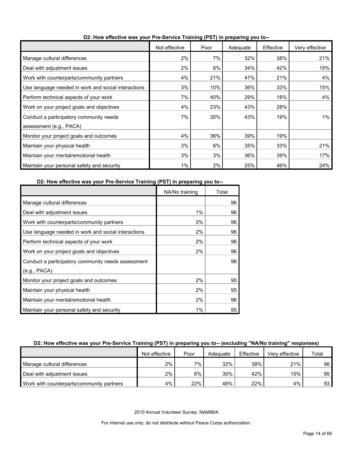|                                                     | Not effective | Poor | Adequate | Effective | Very effective |
|-----------------------------------------------------|---------------|------|----------|-----------|----------------|
| Manage cultural differences                         | 2%            | 7%   | 32%      | 38%       | 21%            |
| Deal with adjustment issues                         | 2%            | 6%   | 34%      | 42%       | 15%            |
| Work with counterparts/community partners           | 4%            | 21%  | 47%      | 21%       | 4%             |
| Use language needed in work and social interactions | 3%            | 10%  | 36%      | 33%       | 15%            |
| Perform technical aspects of your work              | 7%            | 40%  | 29%      | 18%       | 4%             |
| Work on your project goals and objectives           | 4%            | 23%  | 43%      | 28%       |                |
| Conduct a participatory community needs             | 7%            | 30%  | 43%      | 19%       | 1%             |
| assessment (e.g., PACA)                             |               |      |          |           |                |
| Monitor your project goals and outcomes             | 4%            | 36%  | 39%      | 19%       |                |
| Maintain your physical health                       | 3%            | 6%   | 35%      | 33%       | 21%            |
| Maintain your mental/emotional health               | 3%            | 3%   | 36%      | 39%       | 17%            |
| Maintain your personal safety and security          | 1%            | 2%   | 25%      | 46%       | 24%            |

**D2: How effective was your Pre-Service Training (PST) in preparing you to--**

#### **D2: How effective was your Pre-Service Training (PST) in preparing you to--**

|                                                     | NA/No training | Total |
|-----------------------------------------------------|----------------|-------|
| Manage cultural differences                         |                | 96    |
| Deal with adjustment issues                         | 1%             | 96    |
| Work with counterparts/community partners           | 3%             | 96    |
| Use language needed in work and social interactions | 2%             | 96    |
| Perform technical aspects of your work              | 2%             | 96    |
| Work on your project goals and objectives           | 2%             | 96    |
| Conduct a participatory community needs assessment  |                | 96    |
| (e.g., PACA)                                        |                |       |
| Monitor your project goals and outcomes             | 2%             | 95    |
| Maintain your physical health                       | 2%             | 95    |
| Maintain your mental/emotional health               | 2%             | 96    |
| Maintain your personal safety and security          | $1\%$          | 95    |

#### **D2: How effective was your Pre-Service Training (PST) in preparing you to-- (excluding "NA/No training" responses)**

|                                           | Not effective | Poor | Adequate | Effective | Very effective | Total |
|-------------------------------------------|---------------|------|----------|-----------|----------------|-------|
| Manage cultural differences               | 2%            | 7%   | 32%      | 38%       | 21%            | 96    |
| Deal with adjustment issues               | 2%            | 6%   | 35%      | 42%       | 15%            | 95    |
| Work with counterparts/community partners | 4%            | 22%  | 48%      | 22%       | 4%             | 93    |

2010 Annual Volunteer Survey: NAMIBIA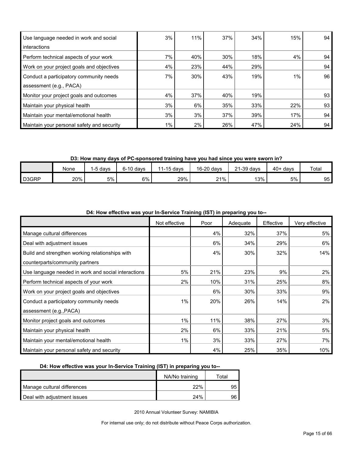| Use language needed in work and social     | 3%    | 11% | 37% | 34% | 15%   | 94 |
|--------------------------------------------|-------|-----|-----|-----|-------|----|
| interactions                               |       |     |     |     |       |    |
| Perform technical aspects of your work     | 7%    | 40% | 30% | 18% | 4%    | 94 |
| Work on your project goals and objectives  | 4%    | 23% | 44% | 29% |       | 94 |
| Conduct a participatory community needs    | 7%    | 30% | 43% | 19% | $1\%$ | 96 |
| assessment (e.g., PACA)                    |       |     |     |     |       |    |
| Monitor your project goals and outcomes    | 4%    | 37% | 40% | 19% |       | 93 |
| Maintain your physical health              | 3%    | 6%  | 35% | 33% | 22%   | 93 |
| Maintain your mental/emotional health      | 3%    | 3%  | 37% | 39% | 17%   | 94 |
| Maintain your personal safety and security | $1\%$ | 2%  | 26% | 47% | 24%   | 94 |

**D3: How many days of PC-sponsored training have you had since you were sworn in?**

|       | None | -5 davs | $6-10$ days | 1-15 davs<br>11 | 16-20 days | 21-39 days | 40+<br>∙davs | Total |
|-------|------|---------|-------------|-----------------|------------|------------|--------------|-------|
| D3GRP | 20%  | 5%      | 6%          | 29%             | 21%        | 13%        | 5%           | 95    |

|                                                     | Not effective | Poor | Adequate | Effective | Very effective |
|-----------------------------------------------------|---------------|------|----------|-----------|----------------|
| Manage cultural differences                         |               | 4%   | 32%      | 37%       | 5%             |
| Deal with adjustment issues                         |               | 6%   | 34%      | 29%       | 6%             |
| Build and strengthen working relationships with     |               | 4%   | 30%      | 32%       | 14%            |
| counterparts/community partners                     |               |      |          |           |                |
| Use language needed in work and social interactions | 5%            | 21%  | 23%      | 9%        | 2%             |
| Perform technical aspects of your work              | 2%            | 10%  | 31%      | 25%       | 8%             |
| Work on your project goals and objectives           |               | 6%   | 30%      | 33%       | 9%             |
| Conduct a participatory community needs             | $1\%$         | 20%  | 26%      | 14%       | 2%             |
| assessment (e.g., PACA)                             |               |      |          |           |                |
| Monitor project goals and outcomes                  | 1%            | 11%  | 38%      | 27%       | 3%             |
| Maintain your physical health                       | 2%            | 6%   | 33%      | 21%       | 5%             |
| Maintain your mental/emotional health               | $1\%$         | 3%   | 33%      | 27%       | 7%             |
| Maintain your personal safety and security          |               | 4%   | 25%      | 35%       | 10%            |

**D4: How effective was your In-Service Training (IST) in preparing you to--**

#### **D4: How effective was your In-Service Training (IST) in preparing you to--**

|                             | NA/No training | ⊤otal |
|-----------------------------|----------------|-------|
| Manage cultural differences | 22%            | 95    |
| Deal with adjustment issues | 24%            | 96    |

2010 Annual Volunteer Survey: NAMIBIA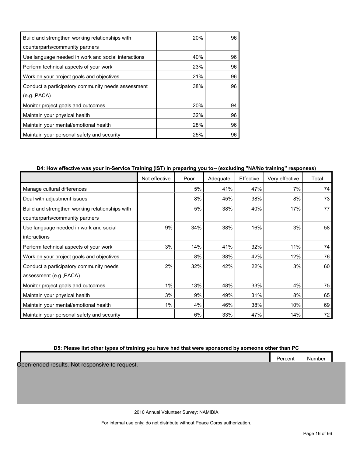| Build and strengthen working relationships with     | 20% | 96 |
|-----------------------------------------------------|-----|----|
| counterparts/community partners                     |     |    |
| Use language needed in work and social interactions | 40% | 96 |
| Perform technical aspects of your work              | 23% | 96 |
| Work on your project goals and objectives           | 21% | 96 |
| Conduct a participatory community needs assessment  | 38% | 96 |
| (e.g., PACA)                                        |     |    |
| Monitor project goals and outcomes                  | 20% | 94 |
| Maintain your physical health                       | 32% | 96 |
| Maintain your mental/emotional health               | 28% | 96 |
| Maintain your personal safety and security          | 25% | 96 |

#### **D4: How effective was your In-Service Training (IST) in preparing you to-- (excluding "NA/No training" responses)**

|                                                 | Not effective | Poor | Adequate | Effective | Very effective | Total |
|-------------------------------------------------|---------------|------|----------|-----------|----------------|-------|
| Manage cultural differences                     |               | 5%   | 41%      | 47%       | 7%             | 74    |
| Deal with adjustment issues                     |               | 8%   | 45%      | 38%       | 8%             | 73    |
| Build and strengthen working relationships with |               | 5%   | 38%      | 40%       | 17%            | 77    |
| counterparts/community partners                 |               |      |          |           |                |       |
| Use language needed in work and social          | 9%            | 34%  | 38%      | 16%       | 3%             | 58    |
| interactions                                    |               |      |          |           |                |       |
| Perform technical aspects of your work          | 3%            | 14%  | 41%      | 32%       | 11%            | 74    |
| Work on your project goals and objectives       |               | 8%   | 38%      | 42%       | 12%            | 76    |
| Conduct a participatory community needs         | 2%            | 32%  | 42%      | 22%       | 3%             | 60    |
| assessment (e.g., PACA)                         |               |      |          |           |                |       |
| Monitor project goals and outcomes              | 1%            | 13%  | 48%      | 33%       | 4%             | 75    |
| Maintain your physical health                   | 3%            | 9%   | 49%      | 31%       | 8%             | 65    |
| Maintain your mental/emotional health           | 1%            | 4%   | 46%      | 38%       | 10%            | 69    |
| Maintain your personal safety and security      |               | 6%   | 33%      | 47%       | 14%            | 72    |

#### **D5: Please list other types of training you have had that were sponsored by someone other than PC**

Percent Number

Open-ended results. Not responsive to request.

2010 Annual Volunteer Survey: NAMIBIA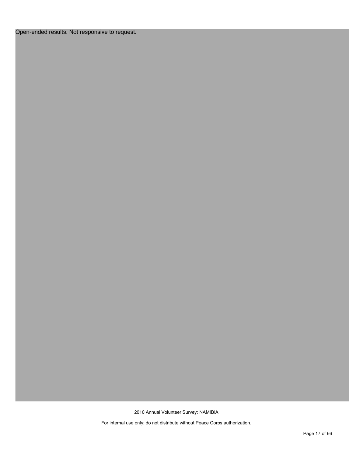#### Open-ended results. Not responsive to request.

2010 Annual Volunteer Survey: NAMIBIA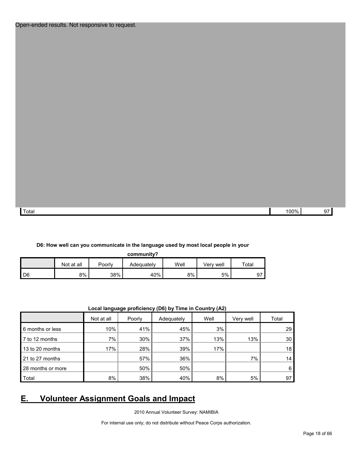Total 100% 97

#### **D6: How well can you communicate in the language used by most local people in your**

**community?**

|                | Not at all | Poorly | Adequatelv | Well | Verv well | $\tau$ otal |
|----------------|------------|--------|------------|------|-----------|-------------|
| $\mathsf{ID6}$ | 8%         | 38%    | 40%        | 8%   | 5%        | 97          |

|                   |            | .      | .          | $\cdots$ |           |       |
|-------------------|------------|--------|------------|----------|-----------|-------|
|                   | Not at all | Poorly | Adequately | Well     | Very well | Total |
| 6 months or less  | 10%        | 41%    | 45%        | 3%       |           | 29    |
| 7 to 12 months    | 7%         | 30%    | 37%        | 13%      | 13%       | 30    |
| 13 to 20 months   | 17%        | 28%    | 39%        | 17%      |           | 18    |
| 21 to 27 months   |            | 57%    | 36%        |          | 7%        | 14    |
| 28 months or more |            | 50%    | 50%        |          |           | 6     |
| Total             | 8%         | 38%    | 40%        | 8%       | 5%        | 97    |
|                   |            |        |            |          |           |       |

#### **Local language proficiency (D6) by Time in Country (A2)**

# <span id="page-17-0"></span>**E. Volunteer Assignment Goals and Impact**

2010 Annual Volunteer Survey: NAMIBIA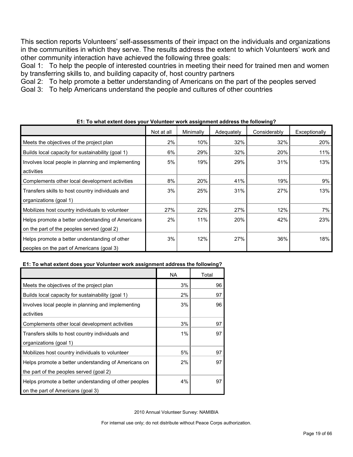This section reports Volunteers' self-assessments of their impact on the individuals and organizations in the communities in which they serve. The results address the extent to which Volunteers' work and other community interaction have achieved the following three goals:

Goal 1: To help the people of interested countries in meeting their need for trained men and women by transferring skills to, and building capacity of, host country partners

Goal 2: To help promote a better understanding of Americans on the part of the peoples served

Goal 3: To help Americans understand the people and cultures of other countries

|                                                    | Not at all | Minimally | Adequately | Considerably | Exceptionally |
|----------------------------------------------------|------------|-----------|------------|--------------|---------------|
| Meets the objectives of the project plan           | 2%         | 10%       | 32%        | 32%          | 20%           |
| Builds local capacity for sustainability (goal 1)  | 6%         | 29%       | 32%        | 20%          | 11%           |
| Involves local people in planning and implementing | 5%         | 19%       | 29%        | 31%          | 13%           |
| activities                                         |            |           |            |              |               |
| Complements other local development activities     | 8%         | 20%       | 41%        | 19%          | 9%            |
| Transfers skills to host country individuals and   | 3%         | 25%       | 31%        | 27%          | 13%           |
| organizations (goal 1)                             |            |           |            |              |               |
| Mobilizes host country individuals to volunteer    | 27%        | 22%       | 27%        | 12%          | 7%            |
| Helps promote a better understanding of Americans  | 2%         | 11%       | 20%        | 42%          | 23%           |
| on the part of the peoples served (goal 2)         |            |           |            |              |               |
| Helps promote a better understanding of other      | 3%         | 12%       | 27%        | 36%          | 18%           |
| peoples on the part of Americans (goal 3)          |            |           |            |              |               |

#### **E1: To what extent does your Volunteer work assignment address the following?**

#### **E1: To what extent does your Volunteer work assignment address the following?**

|                                                       | NA | Total |
|-------------------------------------------------------|----|-------|
| Meets the objectives of the project plan              | 3% | 96    |
| Builds local capacity for sustainability (goal 1)     | 2% | 97    |
| Involves local people in planning and implementing    | 3% | 96    |
| activities                                            |    |       |
| Complements other local development activities        | 3% | 97    |
| Transfers skills to host country individuals and      | 1% | 97    |
| organizations (goal 1)                                |    |       |
| Mobilizes host country individuals to volunteer       | 5% | 97    |
| Helps promote a better understanding of Americans on  | 2% | 97    |
| the part of the peoples served (goal 2)               |    |       |
| Helps promote a better understanding of other peoples | 4% | 97    |
| on the part of Americans (goal 3)                     |    |       |

2010 Annual Volunteer Survey: NAMIBIA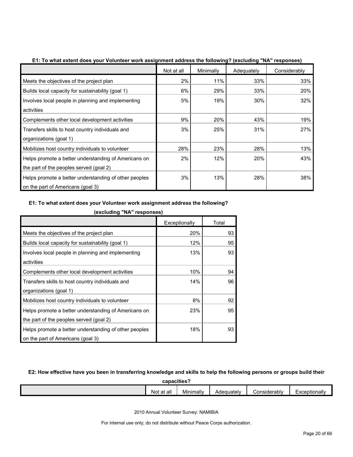|                                                       | Not at all | Minimally | Adequately | Considerably |
|-------------------------------------------------------|------------|-----------|------------|--------------|
| Meets the objectives of the project plan              | 2%         | 11%       | 33%        | 33%          |
| Builds local capacity for sustainability (goal 1)     | 6%         | 29%       | 33%        | 20%          |
| Involves local people in planning and implementing    | 5%         | 19%       | 30%        | 32%          |
| activities                                            |            |           |            |              |
| Complements other local development activities        | 9%         | 20%       | 43%        | 19%          |
| Transfers skills to host country individuals and      | 3%         | 25%       | 31%        | 27%          |
| organizations (goal 1)                                |            |           |            |              |
| Mobilizes host country individuals to volunteer       | 28%        | 23%       | 28%        | 13%          |
| Helps promote a better understanding of Americans on  | 2%         | 12%       | 20%        | 43%          |
| the part of the peoples served (goal 2)               |            |           |            |              |
| Helps promote a better understanding of other peoples | 3%         | 13%       | 28%        | 38%          |
| on the part of Americans (goal 3)                     |            |           |            |              |

**E1: To what extent does your Volunteer work assignment address the following? (excluding "NA" responses)**

#### **E1: To what extent does your Volunteer work assignment address the following?**

|                                                       | Exceptionally | Total |
|-------------------------------------------------------|---------------|-------|
| Meets the objectives of the project plan              | 20%           | 93    |
| Builds local capacity for sustainability (goal 1)     | 12%           | 95    |
| Involves local people in planning and implementing    | 13%           | 93    |
| activities                                            |               |       |
| Complements other local development activities        | 10%           | 94    |
| Transfers skills to host country individuals and      | 14%           | 96    |
| organizations (goal 1)                                |               |       |
| Mobilizes host country individuals to volunteer       | 8%            | 92    |
| Helps promote a better understanding of Americans on  | 23%           | 95    |
| the part of the peoples served (goal 2)               |               |       |
| Helps promote a better understanding of other peoples | 18%           | 93    |
| on the part of Americans (goal 3)                     |               |       |

**(excluding "NA" responses)**

#### **E2: How effective have you been in transferring knowledge and skills to help the following persons or groups build their**

**capacities?**

| Minimally<br>Exceptionally<br>. .<br>-<br>Considerably<br>Not<br>Adequately<br>at all |  |  |  |  |  |  |  |  |
|---------------------------------------------------------------------------------------|--|--|--|--|--|--|--|--|
|                                                                                       |  |  |  |  |  |  |  |  |

2010 Annual Volunteer Survey: NAMIBIA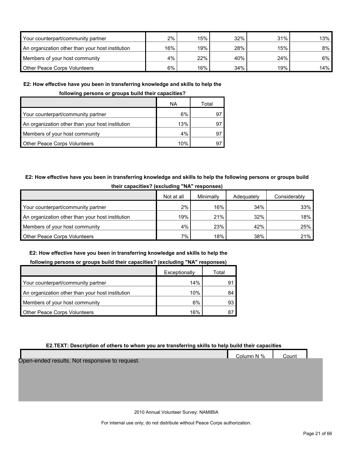| Your counterpart/community partner               | 2%    | 15% | 32% | 31% | 13%   |
|--------------------------------------------------|-------|-----|-----|-----|-------|
| An organization other than your host institution | 16%   | 19% | 28% | 15% | 8%    |
| Members of your host community                   | $4\%$ | 22% | 40% | 24% | $6\%$ |
| Other Peace Corps Volunteers                     | 6%    | 16% | 34% | 19% | 14%   |

#### **E2: How effective have you been in transferring knowledge and skills to help the**

**following persons or groups build their capacities?**

|                                                  | ΝA  | Total |
|--------------------------------------------------|-----|-------|
| Your counterpart/community partner               | 6%  | 9     |
| An organization other than your host institution | 13% | 9     |
| Members of your host community                   | 4%  | 9.    |
| <b>Other Peace Corps Volunteers</b>              | 10% | 9     |

#### **E2: How effective have you been in transferring knowledge and skills to help the following persons or groups build their capacities? (excluding "NA" responses)**

|                                                  | Not at all | Minimally | Adequately | Considerably |  |  |  |  |  |
|--------------------------------------------------|------------|-----------|------------|--------------|--|--|--|--|--|
| Your counterpart/community partner               | $2\%$      | 16%       | 34%        | $33\%$       |  |  |  |  |  |
| An organization other than your host institution | 19%        | 21%       | 32%        | 18%          |  |  |  |  |  |
| Members of your host community                   | 4%         | 23%       | 42%        | 25%          |  |  |  |  |  |
| <b>Other Peace Corps Volunteers</b>              | $7\%$      | 18%       | 38%        | 21%          |  |  |  |  |  |

#### **E2: How effective have you been in transferring knowledge and skills to help the**

#### **following persons or groups build their capacities? (excluding "NA" responses)**

|                                                  | Exceptionally | Total |
|--------------------------------------------------|---------------|-------|
| Your counterpart/community partner               | 14%           |       |
| An organization other than your host institution | 10%           |       |
| Members of your host community                   | 6%            | 93    |
| <b>Other Peace Corps Volunteers</b>              | 16%           |       |

#### **E2.TEXT: Description of others to whom you are transferring skills to help build their capacities**

|                                                | Column N % | Count |  |
|------------------------------------------------|------------|-------|--|
| Open-ended results. Not responsive to request. |            |       |  |
|                                                |            |       |  |
|                                                |            |       |  |
|                                                |            |       |  |
|                                                |            |       |  |
|                                                |            |       |  |
|                                                |            |       |  |

2010 Annual Volunteer Survey: NAMIBIA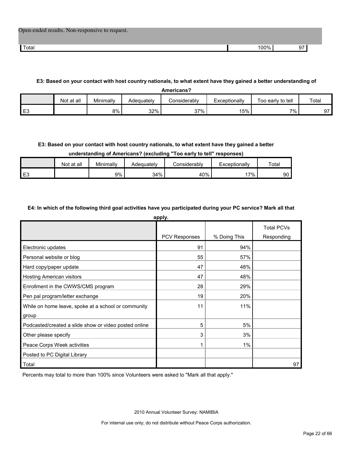| Open-ended results. Non-responsive to request. |      |    |
|------------------------------------------------|------|----|
| Total                                          | 100% | 97 |

#### **E3: Based on your contact with host country nationals, to what extent have they gained a better understanding of**

| <b>Americans?</b> |            |           |            |              |               |                   |       |  |
|-------------------|------------|-----------|------------|--------------|---------------|-------------------|-------|--|
|                   | Not at all | Minimally | Adeguatelv | Considerably | Exceptionally | Too early to tell | Total |  |
| ⊏≏<br>∼∟          |            | 8%        | 32%        | 37%          | 15%           | $7\%$             | 97    |  |

#### **E3: Based on your contact with host country nationals, to what extent have they gained a better**

**understanding of Americans? (excluding "Too early to tell" responses)**

|                | Not at all | Minimally | Adequatelv | :onsiderablv | Exceptionally | Totar |
|----------------|------------|-----------|------------|--------------|---------------|-------|
| E <sub>3</sub> |            | 9%        | 34%        | 40%          | 7%            | 90    |

#### **E4: In which of the following third goal activities have you participated during your PC service? Mark all that**

| apply.                                                |                      |              |                                 |  |  |  |  |  |  |
|-------------------------------------------------------|----------------------|--------------|---------------------------------|--|--|--|--|--|--|
|                                                       | <b>PCV Responses</b> | % Doing This | <b>Total PCVs</b><br>Responding |  |  |  |  |  |  |
| Electronic updates                                    | 91                   | 94%          |                                 |  |  |  |  |  |  |
| Personal website or blog                              | 55                   | 57%          |                                 |  |  |  |  |  |  |
| Hard copy/paper update                                | 47                   | 48%          |                                 |  |  |  |  |  |  |
| Hosting American visitors                             | 47                   | 48%          |                                 |  |  |  |  |  |  |
| Enrollment in the CWWS/CMS program                    | 28                   | 29%          |                                 |  |  |  |  |  |  |
| Pen pal program/letter exchange                       | 19                   | 20%          |                                 |  |  |  |  |  |  |
| While on home leave, spoke at a school or community   | 11                   | 11%          |                                 |  |  |  |  |  |  |
| group                                                 |                      |              |                                 |  |  |  |  |  |  |
| Podcasted/created a slide show or video posted online | 5                    | 5%           |                                 |  |  |  |  |  |  |
| Other please specify                                  | 3                    | 3%           |                                 |  |  |  |  |  |  |
| Peace Corps Week activities                           | 1                    | 1%           |                                 |  |  |  |  |  |  |
| Posted to PC Digital Library                          |                      |              |                                 |  |  |  |  |  |  |
| Total                                                 |                      |              | 97                              |  |  |  |  |  |  |

Percents may total to more than 100% since Volunteers were asked to "Mark all that apply."

2010 Annual Volunteer Survey: NAMIBIA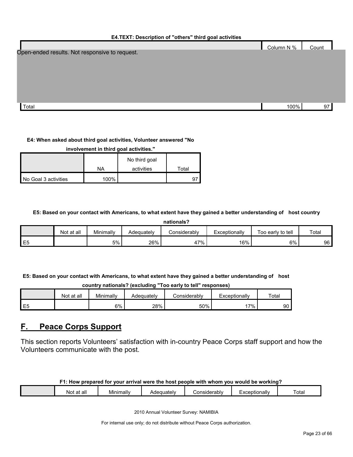#### **E4.TEXT: Description of "others" third goal activities**

|                                                | Column N % | Count |  |
|------------------------------------------------|------------|-------|--|
| Open-ended results. Not responsive to request. |            |       |  |
|                                                |            |       |  |
|                                                |            |       |  |
|                                                |            |       |  |
|                                                |            |       |  |
|                                                |            |       |  |
| Total                                          | 100%       | 97    |  |

#### **E4: When asked about third goal activities, Volunteer answered "No**

| involvement in third goal activities." |      |               |       |  |  |  |  |
|----------------------------------------|------|---------------|-------|--|--|--|--|
|                                        |      | No third goal |       |  |  |  |  |
|                                        | ΝA   | activities    | Total |  |  |  |  |
| No Goal 3 activities                   | 100% |               |       |  |  |  |  |

#### **E5: Based on your contact with Americans, to what extent have they gained a better understanding of host country**

**nationals?**

|         | Not<br>∶at all | Minimally | Adequatelv | <i>C</i> onsiderabl∨     | Exceptionally | to tell<br>Too early | Total |
|---------|----------------|-----------|------------|--------------------------|---------------|----------------------|-------|
| ⊢<br>∟ບ |                | 5%        | 26%        | $17\%$<br>4 <sub>1</sub> | 16%           | 6%                   | 96    |

**E5: Based on your contact with Americans, to what extent have they gained a better understanding of host** 

**country nationals? (excluding "Too early to tell" responses)**

|                | Not at all | Minimally | Adequatelv | ا onsiderabl∨ | Exceptionally | Total |
|----------------|------------|-----------|------------|---------------|---------------|-------|
| E <sub>5</sub> |            | 6%        | 28%        | 50%           | $7\%$ .       | 90    |

# <span id="page-22-0"></span>**F. Peace Corps Support**

This section reports Volunteers' satisfaction with in-country Peace Corps staff support and how the Volunteers communicate with the post.

|  | F1: How prepared for your arrival were the host people with whom you would be working? |  |
|--|----------------------------------------------------------------------------------------|--|
|--|----------------------------------------------------------------------------------------|--|

| all<br><b>NOT</b> | Minimally | equatelv<br>¬៶ ៸. | `onsiderablv<br>. | ·xceptionally | $\overline{\phantom{a}}$<br>∶otai |
|-------------------|-----------|-------------------|-------------------|---------------|-----------------------------------|
|                   |           |                   |                   |               |                                   |

2010 Annual Volunteer Survey: NAMIBIA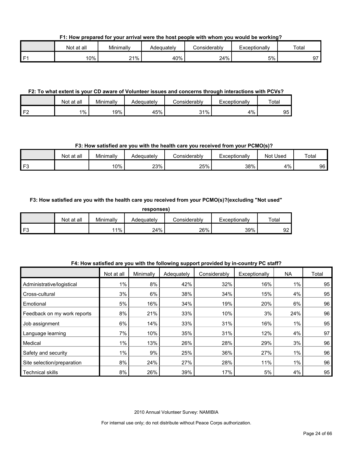**F1: How prepared for your arrival were the host people with whom you would be working?**

|          | ∶at all<br>Not | Minimally  | Adequately | Considerably | cxceptionally | Total                    |
|----------|----------------|------------|------------|--------------|---------------|--------------------------|
| <b>r</b> | 0%             | 21%<br>∠ । | 40%        | 24%          | 5%            | $\overline{\phantom{0}}$ |

#### **F2: To what extent is your CD aware of Volunteer issues and concerns through interactions with PCVs?**

|           | Not at all | Minimally | Adequately | Considerabl∨ | Exceptionally | Total |
|-----------|------------|-----------|------------|--------------|---------------|-------|
| LE2.<br>∼ | 1%         | 19%       | 45%        | 31%          | 4%            | 95    |

#### **F3: How satisfied are you with the health care you received from your PCMO(s)?**

|          | Not at all | Minimally | Adequatelv | Considerabl∨ | Exceptionally | Used<br>Not | Total |
|----------|------------|-----------|------------|--------------|---------------|-------------|-------|
| $\Gamma$ |            | 10%       | 23%        | 25%          | 38%           | 4%          | 96    |

#### **F3: How satisfied are you with the health care you received from your PCMO(s)?(excluding "Not used"**

| ۱<br>n<br>п<br>۰. |
|-------------------|
|-------------------|

|      | Not at all | Minimally | Adeauatelv | ≿onsiderablv | Exceptionallv | Total    |
|------|------------|-----------|------------|--------------|---------------|----------|
| l F3 |            | 11%       | 24%        | 26%          | 39%           | ດາ<br>ອ∠ |

|                             | Not at all | Minimally | Adequately | Considerably | Exceptionally | <b>NA</b> | Total |
|-----------------------------|------------|-----------|------------|--------------|---------------|-----------|-------|
| Administrative/logistical   | 1%         | 8%        | 42%        | 32%          | 16%           | $1\%$     | 95    |
| Cross-cultural              | 3%         | 6%        | 38%        | 34%          | 15%           | 4%        | 95    |
| Emotional                   | 5%         | 16%       | 34%        | 19%          | 20%           | 6%        | 96    |
| Feedback on my work reports | 8%         | 21%       | 33%        | 10%          | 3%            | 24%       | 96    |
| Job assignment              | 6%         | 14%       | 33%        | 31%          | 16%           | 1%        | 95    |
| Language learning           | 7%         | 10%       | 35%        | 31%          | 12%           | 4%        | 97    |
| Medical                     | $1\%$      | 13%       | 26%        | 28%          | 29%           | 3%        | 96    |
| Safety and security         | $1\%$      | 9%        | 25%        | 36%          | 27%           | $1\%$     | 96    |
| Site selection/preparation  | 8%         | 24%       | 27%        | 28%          | 11%           | $1\%$     | 96    |
| <b>Technical skills</b>     | 8%         | 26%       | 39%        | 17%          | 5%            | 4%        | 95    |

#### **F4: How satisfied are you with the following support provided by in-country PC staff?**

2010 Annual Volunteer Survey: NAMIBIA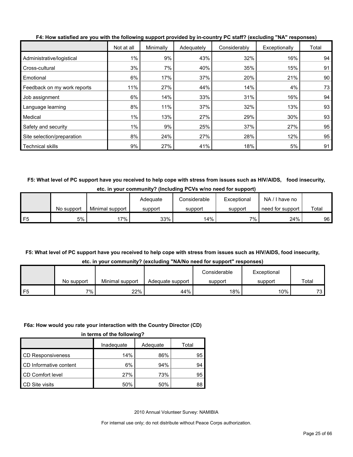|                             | Not at all | Minimally | Adequately | Considerably | Exceptionally | Total |
|-----------------------------|------------|-----------|------------|--------------|---------------|-------|
| Administrative/logistical   | 1%         | 9%        | 43%        | 32%          | 16%           | 94    |
| Cross-cultural              | 3%         | 7%        | 40%        | 35%          | 15%           | 91    |
| Emotional                   | 6%         | 17%       | 37%        | 20%          | 21%           | 90    |
| Feedback on my work reports | 11%        | 27%       | 44%        | 14%          | 4%            | 73    |
| Job assignment              | 6%         | 14%       | 33%        | 31%          | 16%           | 94    |
| Language learning           | 8%         | 11%       | 37%        | 32%          | 13%           | 93    |
| Medical                     | 1%         | 13%       | 27%        | 29%          | 30%           | 93    |
| Safety and security         | $1\%$      | 9%        | 25%        | 37%          | 27%           | 95    |
| Site selection/preparation  | 8%         | 24%       | 27%        | 28%          | 12%           | 95    |
| <b>Technical skills</b>     | 9%         | 27%       | 41%        | 18%          | 5%            | 91    |

**F4: How satisfied are you with the following support provided by in-country PC staff? (excluding "NA" responses)**

**F5: What level of PC support have you received to help cope with stress from issues such as HIV/AIDS, food insecurity, etc. in your community? (Including PCVs w/no need for support)**

|                 |            |                 | Adequate | Considerable | Exceptional | NA.<br>' I have no |       |
|-----------------|------------|-----------------|----------|--------------|-------------|--------------------|-------|
|                 | No support | Minimal support | support  | support      | support     | need for support   | Total |
| IF <sub>5</sub> | 5%         | 7%              | 33%      | 14%          | 7%          | 24%                | 96    |

# **F5: What level of PC support have you received to help cope with stress from issues such as HIV/AIDS, food insecurity,**

|  | etc. in your community? (excluding "NA/No need for support" responses) |  |  |  |  |
|--|------------------------------------------------------------------------|--|--|--|--|
|--|------------------------------------------------------------------------|--|--|--|--|

|            |                 |                  | Considerable | Exceptional |       |
|------------|-----------------|------------------|--------------|-------------|-------|
| No support | Minimal support | Adequate support | support      | support     | Total |
| 7%.        | 22%             | 44%              | 18%          | 10%         | 73.   |

#### **F6a: How would you rate your interaction with the Country Director (CD)**

|                          | Inadeguate | Adequate | Total |  |  |
|--------------------------|------------|----------|-------|--|--|
| <b>CD Responsiveness</b> | 14%        | 86%      | 95    |  |  |
| CD Informative content   | 6%         | 94%      | 94    |  |  |
| CD Comfort level         | 27%        | 73%      | 95    |  |  |
| CD Site visits           | 50%        | 50%      | 88    |  |  |

2010 Annual Volunteer Survey: NAMIBIA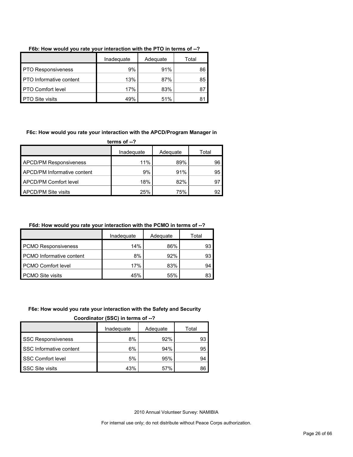|                                | Inadequate | Adequate | Total |
|--------------------------------|------------|----------|-------|
| <b>PTO Responsiveness</b>      | 9%         | 91%      | 86    |
| <b>PTO</b> Informative content | 13%        | 87%      | 85    |
| <b>PTO Comfort level</b>       | 17%        | 83%      | 87    |
| <b>PTO Site visits</b>         | 49%        | 51%      | 81    |

#### **F6b: How would you rate your interaction with the PTO in terms of --?**

#### **F6c: How would you rate your interaction with the APCD/Program Manager in**

**terms of --?**

|                               | Inadequate | Adequate | Total |
|-------------------------------|------------|----------|-------|
| <b>APCD/PM Responsiveness</b> | 11%        | 89%      | 96    |
| APCD/PM Informative content   | 9%         | 91%      | 95    |
| <b>APCD/PM Comfort level</b>  | 18%        | 82%      | 97    |
| <b>APCD/PM Site visits</b>    | 25%        | 75%      | 92    |

#### **F6d: How would you rate your interaction with the PCMO in terms of --?**

|                                 | Inadequate | Adequate | Total |
|---------------------------------|------------|----------|-------|
| <b>PCMO Responsiveness</b>      | 14%        | 86%      | 93    |
| <b>PCMO</b> Informative content | 8%         | 92%      | 93    |
| <b>PCMO Comfort level</b>       | 17%        | 83%      | 94    |
| PCMO Site visits                | 45%        | 55%      | 83    |

#### **F6e: How would you rate your interaction with the Safety and Security**

**Coordinator (SSC) in terms of --?**

|                           | Inadequate | Adequate | Total |  |  |
|---------------------------|------------|----------|-------|--|--|
| <b>SSC Responsiveness</b> | 8%         | 92%      | 93    |  |  |
| SSC Informative content   | 6%         | 94%      | 95    |  |  |
| <b>SSC Comfort level</b>  | 5%         | 95%      | 94    |  |  |
| SSC Site visits           | 43%        | 57%      | 86    |  |  |

2010 Annual Volunteer Survey: NAMIBIA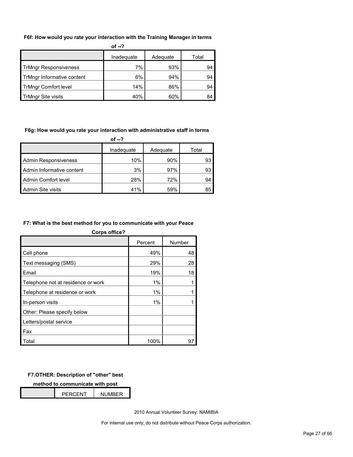#### **F6f: How would you rate your interaction with the Training Manager in terms**

| of $-2$                      |            |          |       |  |  |
|------------------------------|------------|----------|-------|--|--|
|                              | Inadequate | Adequate | Total |  |  |
| <b>TrMngr Responsiveness</b> | 7%         | 93%      | 94    |  |  |
| TrMngr Informative content   | 6%         | 94%      | 94    |  |  |
| <b>TrMngr Comfort level</b>  | 14%        | 86%      | 94    |  |  |
| <b>TrMngr Site visits</b>    | 40%        | 60%      | 84    |  |  |

#### **F6g: How would you rate your interaction with administrative staff in terms**

| of --?                      |            |          |       |  |  |
|-----------------------------|------------|----------|-------|--|--|
|                             | Inadequate | Adequate | Total |  |  |
| <b>Admin Responsiveness</b> | 10%        | $90\%$   | 93    |  |  |
| Admin Informative content   | 3%         | 97%      | 93    |  |  |
| Admin Comfort level         | 28%        | 72%      | 94    |  |  |
| Admin Site visits           | 41%        | 59%      | 85    |  |  |

#### **F7: What is the best method for you to communicate with your Peace**

| <b>Corps office?</b>               |         |        |
|------------------------------------|---------|--------|
|                                    | Percent | Number |
| Cell phone                         | 49%     | 48     |
| Text messaging (SMS)               | 29%     | 28     |
| Email                              | 19%     | 18     |
| Telephone not at residence or work | 1%      |        |
| Telephone at residence or work     | 1%      |        |
| In-person visits                   | 1%      |        |
| Other: Please specify below        |         |        |
| Letters/postal service             |         |        |
| Fax                                |         |        |
| Total                              | 100%    | 97     |

#### **F7.OTHER: Description of "other" best**

**method to communicate with post**

| <b>PFRCFNT</b> | <b>NUMBER</b> |  |
|----------------|---------------|--|

2010 Annual Volunteer Survey: NAMIBIA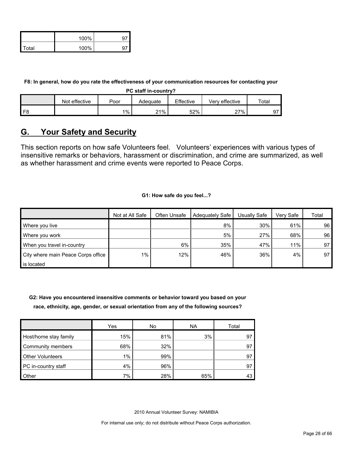|              | 100% |  |
|--------------|------|--|
| <b>Total</b> | 100% |  |

**F8: In general, how do you rate the effectiveness of your communication resources for contacting your** 

**PC staff in-country?**

|                | effective<br>Not | Poor  | Adequate | Effective | Verv effective | $\tau$ otai      |
|----------------|------------------|-------|----------|-----------|----------------|------------------|
| F <sub>8</sub> |                  | $1\%$ | 21%      | 52%       | 27%            | $\sim$ $-$<br>৬. |

# <span id="page-27-0"></span>**G. Your Safety and Security**

This section reports on how safe Volunteers feel. Volunteers' experiences with various types of insensitive remarks or behaviors, harassment or discrimination, and crime are summarized, as well as whether harassment and crime events were reported to Peace Corps.

#### **G1: How safe do you feel...?**

|                                    | Not at All Safe | Often Unsafe | Adequately Safe | Usually Safe | Very Safe | Total |
|------------------------------------|-----------------|--------------|-----------------|--------------|-----------|-------|
| Where you live                     |                 |              | 8%              | 30%          | 61%       | 96    |
| Where you work                     |                 |              | 5%              | 27%          | 68%       | 96    |
| When you travel in-country         |                 | 6%           | 35%             | 47%          | 11%       | 97    |
| City where main Peace Corps office | $1\%$           | 12%          | 46%             | 36%          | 4%        | 97    |
| is located                         |                 |              |                 |              |           |       |

**G2: Have you encountered insensitive comments or behavior toward you based on your race, ethnicity, age, gender, or sexual orientation from any of the following sources?**

|                         | Yes   | No  | ΝA  | Total |
|-------------------------|-------|-----|-----|-------|
| Host/home stay family   | 15%   | 81% | 3%  | 97    |
| Community members       | 68%   | 32% |     | 97    |
| <b>Other Volunteers</b> | $1\%$ | 99% |     | 97    |
| PC in-country staff     | 4%    | 96% |     | 97    |
| Other                   | 7%    | 28% | 65% |       |

2010 Annual Volunteer Survey: NAMIBIA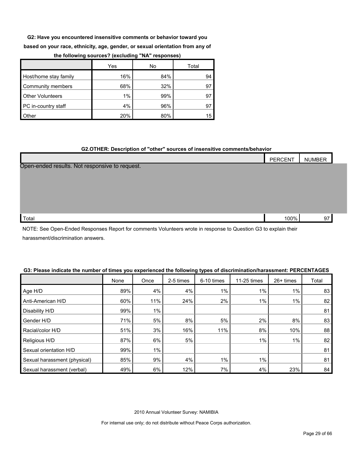**G2: Have you encountered insensitive comments or behavior toward you** 

**based on your race, ethnicity, age, gender, or sexual orientation from any of** 

|                         | Yes | No  | Total |
|-------------------------|-----|-----|-------|
| Host/home stay family   | 16% | 84% | 94    |
| Community members       | 68% | 32% |       |
| <b>Other Volunteers</b> | 1%  | 99% |       |
| PC in-country staff     | 4%  | 96% |       |
| Other                   | 20% | 80% | 15    |

#### **the following sources? (excluding "NA" responses)**

#### **G2.OTHER: Description of "other" sources of insensitive comments/behavior**

|                                                | <b>PERCENT</b> | <b>NUMBER</b> |
|------------------------------------------------|----------------|---------------|
| Open-ended results. Not responsive to request. |                |               |
|                                                |                |               |
|                                                |                |               |
|                                                |                |               |
|                                                |                |               |
| Total                                          | 100%           | 97            |

NOTE: See Open-Ended Responses Report for comments Volunteers wrote in response to Question G3 to explain their harassment/discrimination answers.

#### **G3: Please indicate the number of times you experienced the following types of discrimination/harassment: PERCENTAGES**

|                              | None | Once  | 2-5 times | 6-10 times | 11-25 times | 26+ times | Total |
|------------------------------|------|-------|-----------|------------|-------------|-----------|-------|
| Age H/D                      | 89%  | 4%    | 4%        | 1%         | 1%          | $1\%$     | 83    |
| Anti-American H/D            | 60%  | 11%   | 24%       | 2%         | $1\%$       | $1\%$     | 82    |
| Disability H/D               | 99%  | 1%    |           |            |             |           | 81    |
| Gender H/D                   | 71%  | 5%    | 8%        | 5%         | 2%          | 8%        | 83    |
| Racial/color H/D             | 51%  | 3%    | 16%       | 11%        | 8%          | 10%       | 88    |
| Religious H/D                | 87%  | 6%    | 5%        |            | $1\%$       | $1\%$     | 82    |
| Sexual orientation H/D       | 99%  | $1\%$ |           |            |             |           | 81    |
| Sexual harassment (physical) | 85%  | 9%    | 4%        | 1%         | 1%          |           | 81    |
| Sexual harassment (verbal)   | 49%  | 6%    | 12%       | 7%         | 4%          | 23%       | 84    |

2010 Annual Volunteer Survey: NAMIBIA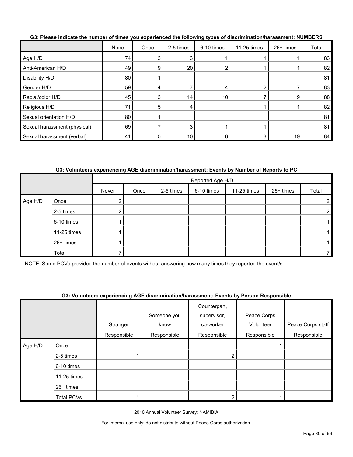|                              | None | Once | 2-5 times | 6-10 times | 11-25 times | 26+ times | Total |
|------------------------------|------|------|-----------|------------|-------------|-----------|-------|
| Age H/D                      | 74   |      |           |            |             |           | 83    |
| Anti-American H/D            | 49   | 9    | 20        |            |             |           | 82    |
| Disability H/D               | 80   |      |           |            |             |           | 81    |
| Gender H/D                   | 59   |      |           |            | ົ           |           | 83    |
| Racial/color H/D             | 45   |      | 14        | 10         |             | 9         | 88    |
| Religious H/D                | 71   | 5    |           |            |             |           | 82    |
| Sexual orientation H/D       | 80   |      |           |            |             |           | 81    |
| Sexual harassment (physical) | 69   |      | 3         |            |             |           | 81    |
| Sexual harassment (verbal)   | 41   |      | 10        |            | 3           | 19        | 84    |

**G3: Please indicate the number of times you experienced the following types of discrimination/harassment: NUMBERS**

#### **G3: Volunteers experiencing AGE discrimination/harassment: Events by Number of Reports to PC**

|         |             |            | Reported Age H/D |           |            |             |           |       |  |  |
|---------|-------------|------------|------------------|-----------|------------|-------------|-----------|-------|--|--|
|         |             | Never      | Once             | 2-5 times | 6-10 times | 11-25 times | 26+ times | Total |  |  |
| Age H/D | Once        | $\epsilon$ |                  |           |            |             |           | 2     |  |  |
|         | 2-5 times   |            |                  |           |            |             |           | 2     |  |  |
|         | 6-10 times  |            |                  |           |            |             |           |       |  |  |
|         | 11-25 times |            |                  |           |            |             |           |       |  |  |
|         | 26+ times   |            |                  |           |            |             |           |       |  |  |
|         | Total       |            |                  |           |            |             |           |       |  |  |

NOTE: Some PCVs provided the number of events without answering how many times they reported the event/s.

#### **G3: Volunteers experiencing AGE discrimination/harassment: Events by Person Responsible**

|         |             |             | Someone you | Counterpart,<br>supervisor, | Peace Corps |                   |
|---------|-------------|-------------|-------------|-----------------------------|-------------|-------------------|
|         |             | Stranger    | know        | co-worker                   | Volunteer   | Peace Corps staff |
|         |             | Responsible | Responsible | Responsible                 | Responsible | Responsible       |
| Age H/D | Once        |             |             |                             |             |                   |
|         | 2-5 times   |             |             |                             |             |                   |
|         | 6-10 times  |             |             |                             |             |                   |
|         | 11-25 times |             |             |                             |             |                   |
|         | $26+$ times |             |             |                             |             |                   |
|         | Total PCVs  |             |             |                             |             |                   |

2010 Annual Volunteer Survey: NAMIBIA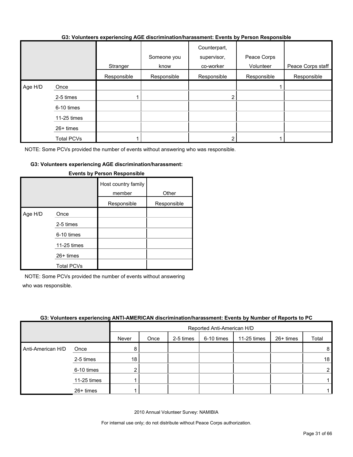#### **G3: Volunteers experiencing AGE discrimination/harassment: Events by Person Responsible**

|         |             | Stranger    | Someone you<br>know | Counterpart,<br>supervisor,<br>co-worker | Peace Corps<br>Volunteer | Peace Corps staff |
|---------|-------------|-------------|---------------------|------------------------------------------|--------------------------|-------------------|
|         |             | Responsible | Responsible         | Responsible                              | Responsible              | Responsible       |
| Age H/D | Once        |             |                     |                                          |                          |                   |
|         | 2-5 times   |             |                     |                                          |                          |                   |
|         | 6-10 times  |             |                     |                                          |                          |                   |
|         | 11-25 times |             |                     |                                          |                          |                   |
|         | 26+ times   |             |                     |                                          |                          |                   |
|         | Total PCVs  |             |                     |                                          |                          |                   |

NOTE: Some PCVs provided the number of events without answering who was responsible.

#### **G3: Volunteers experiencing AGE discrimination/harassment:**

|         |                                                                                    | Host country family<br>member<br>Responsible | Other<br>Responsible |
|---------|------------------------------------------------------------------------------------|----------------------------------------------|----------------------|
| Age H/D | Once<br>2-5 times<br>6-10 times<br>11-25 times<br>$26+$ times<br><b>Total PCVs</b> |                                              |                      |

#### **Events by Person Responsible**

NOTE: Some PCVs provided the number of events without answering who was responsible.

#### **G3: Volunteers experiencing ANTI-AMERICAN discrimination/harassment: Events by Number of Reports to PC**

|                   |             |       | Reported Anti-American H/D |           |            |             |             |                |
|-------------------|-------------|-------|----------------------------|-----------|------------|-------------|-------------|----------------|
|                   |             | Never | Once                       | 2-5 times | 6-10 times | 11-25 times | $26+$ times | Total          |
| Anti-American H/D | Once        | 8     |                            |           |            |             |             | 8              |
|                   | 2-5 times   | 18    |                            |           |            |             |             | 18             |
|                   | 6-10 times  | ◠     |                            |           |            |             |             | $\overline{2}$ |
|                   | 11-25 times |       |                            |           |            |             |             |                |
|                   | 26+ times   |       |                            |           |            |             |             |                |

2010 Annual Volunteer Survey: NAMIBIA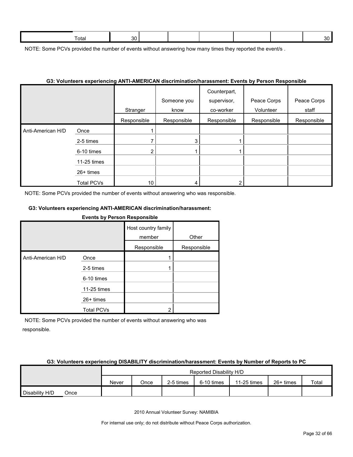| $\overline{\phantom{0}}$<br>Total | n n |  |  | $\sim$ |
|-----------------------------------|-----|--|--|--------|
|                                   |     |  |  |        |

NOTE: Some PCVs provided the number of events without answering how many times they reported the event/s.

#### **G3: Volunteers experiencing ANTI-AMERICAN discrimination/harassment: Events by Person Responsible**

|                   |                   | Stranger    | Someone you<br>know | Counterpart,<br>supervisor,<br>co-worker | Peace Corps<br>Volunteer | Peace Corps<br>staff |
|-------------------|-------------------|-------------|---------------------|------------------------------------------|--------------------------|----------------------|
|                   |                   | Responsible | Responsible         | Responsible                              | Responsible              | Responsible          |
| Anti-American H/D | Once              |             |                     |                                          |                          |                      |
|                   | 2-5 times         |             | 3                   |                                          |                          |                      |
|                   | 6-10 times        | ົ           |                     |                                          |                          |                      |
|                   | 11-25 times       |             |                     |                                          |                          |                      |
|                   | $26+$ times       |             |                     |                                          |                          |                      |
|                   | <b>Total PCVs</b> | 10          |                     |                                          |                          |                      |

NOTE: Some PCVs provided the number of events without answering who was responsible.

#### **G3: Volunteers experiencing ANTI-AMERICAN discrimination/harassment:**

**Events by Person Responsible**

|                   |                   | Host country family<br>member | Other       |
|-------------------|-------------------|-------------------------------|-------------|
|                   |                   | Responsible                   | Responsible |
| Anti-American H/D | Once              |                               |             |
|                   | 2-5 times         |                               |             |
|                   | 6-10 times        |                               |             |
|                   | 11-25 times       |                               |             |
|                   | $26+$ times       |                               |             |
|                   | <b>Total PCVs</b> | າ                             |             |

NOTE: Some PCVs provided the number of events without answering who was responsible.

#### **G3: Volunteers experiencing DISABILITY discrimination/harassment: Events by Number of Reports to PC**

|                |      |       |      |           | Reported Disability H/D |             |           |       |
|----------------|------|-------|------|-----------|-------------------------|-------------|-----------|-------|
|                |      | Never | Once | 2-5 times | 6-10 times              | 11-25 times | 26+ times | Total |
| Disability H/D | Once |       |      |           |                         |             |           |       |

2010 Annual Volunteer Survey: NAMIBIA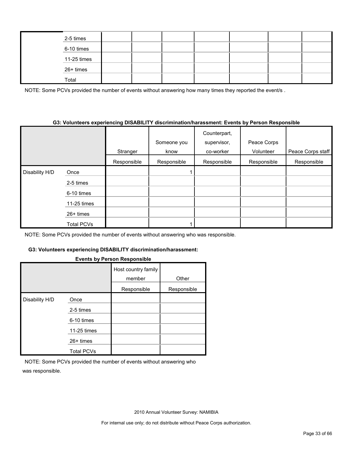| 2-5 times   |  |  |  |  |
|-------------|--|--|--|--|
| 6-10 times  |  |  |  |  |
| 11-25 times |  |  |  |  |
| 26+ times   |  |  |  |  |
| Total       |  |  |  |  |

NOTE: Some PCVs provided the number of events without answering how many times they reported the event/s.

#### **G3: Volunteers experiencing DISABILITY discrimination/harassment: Events by Person Responsible**

|                |                   | Stranger    | Someone you<br>know | Counterpart,<br>supervisor,<br>co-worker | Peace Corps<br>Volunteer | Peace Corps staff |
|----------------|-------------------|-------------|---------------------|------------------------------------------|--------------------------|-------------------|
|                |                   | Responsible | Responsible         | Responsible                              | Responsible              | Responsible       |
| Disability H/D | Once              |             |                     |                                          |                          |                   |
|                | 2-5 times         |             |                     |                                          |                          |                   |
|                | 6-10 times        |             |                     |                                          |                          |                   |
|                | 11-25 times       |             |                     |                                          |                          |                   |
|                | $26+$ times       |             |                     |                                          |                          |                   |
|                | <b>Total PCVs</b> |             |                     |                                          |                          |                   |

NOTE: Some PCVs provided the number of events without answering who was responsible.

#### **G3: Volunteers experiencing DISABILITY discrimination/harassment:**

#### **Events by Person Responsible**

|                |                   | Host country family<br>member | Other       |
|----------------|-------------------|-------------------------------|-------------|
|                |                   | Responsible                   | Responsible |
| Disability H/D | Once              |                               |             |
|                | 2-5 times         |                               |             |
|                | 6-10 times        |                               |             |
|                | 11-25 times       |                               |             |
|                | $26+$ times       |                               |             |
|                | <b>Total PCVs</b> |                               |             |

NOTE: Some PCVs provided the number of events without answering who was responsible.

2010 Annual Volunteer Survey: NAMIBIA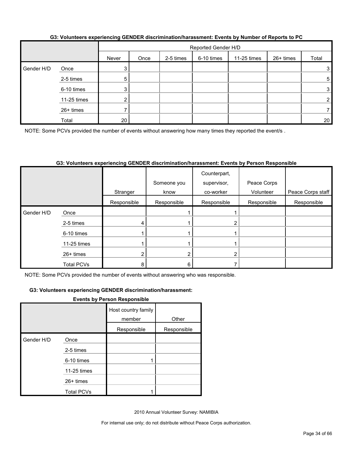|            |             |       | Reported Gender H/D |           |            |             |           |       |  |
|------------|-------------|-------|---------------------|-----------|------------|-------------|-----------|-------|--|
|            |             | Never | Once                | 2-5 times | 6-10 times | 11-25 times | 26+ times | Total |  |
| Gender H/D | Once        | 3     |                     |           |            |             |           | 3     |  |
|            | 2-5 times   | 5     |                     |           |            |             |           | 5     |  |
|            | 6-10 times  | 3     |                     |           |            |             |           | 3     |  |
|            | 11-25 times | ς     |                     |           |            |             |           | 2     |  |
|            | 26+ times   |       |                     |           |            |             |           |       |  |
|            | Total       | 20    |                     |           |            |             |           | 20    |  |

#### **G3: Volunteers experiencing GENDER discrimination/harassment: Events by Number of Reports to PC**

NOTE: Some PCVs provided the number of events without answering how many times they reported the event/s.

#### **G3: Volunteers experiencing GENDER discrimination/harassment: Events by Person Responsible**

|            |                   | Stranger    | Someone you<br>know | Counterpart,<br>supervisor,<br>co-worker | Peace Corps<br>Volunteer | Peace Corps staff |
|------------|-------------------|-------------|---------------------|------------------------------------------|--------------------------|-------------------|
|            |                   | Responsible | Responsible         | Responsible                              | Responsible              | Responsible       |
| Gender H/D | Once              |             |                     |                                          |                          |                   |
|            | 2-5 times         |             |                     |                                          |                          |                   |
|            | 6-10 times        |             |                     |                                          |                          |                   |
|            | 11-25 times       |             |                     |                                          |                          |                   |
|            | 26+ times         |             |                     |                                          |                          |                   |
|            | <b>Total PCVs</b> | 8           | 6                   |                                          |                          |                   |

NOTE: Some PCVs provided the number of events without answering who was responsible.

#### **G3: Volunteers experiencing GENDER discrimination/harassment:**

#### **Events by Person Responsible**

|            |                   | Host country family<br>member | Other       |
|------------|-------------------|-------------------------------|-------------|
|            |                   | Responsible                   | Responsible |
| Gender H/D | Once              |                               |             |
|            | 2-5 times         |                               |             |
|            | 6-10 times        |                               |             |
|            | 11-25 times       |                               |             |
|            | $26+$ times       |                               |             |
|            | <b>Total PCVs</b> |                               |             |

2010 Annual Volunteer Survey: NAMIBIA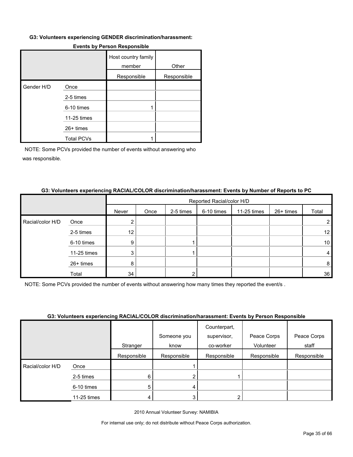#### **G3: Volunteers experiencing GENDER discrimination/harassment:**

|            |                   | Host country family<br>member | Other       |
|------------|-------------------|-------------------------------|-------------|
|            |                   | Responsible                   | Responsible |
| Gender H/D | Once              |                               |             |
|            | 2-5 times         |                               |             |
|            | 6-10 times        |                               |             |
|            | 11-25 times       |                               |             |
|            | 26+ times         |                               |             |
|            | <b>Total PCVs</b> |                               |             |

#### **Events by Person Responsible**

NOTE: Some PCVs provided the number of events without answering who was responsible.

## **G3: Volunteers experiencing RACIAL/COLOR discrimination/harassment: Events by Number of Reports to PC**

|                  |             |                 | Reported Racial/color H/D |           |            |             |           |                 |  |
|------------------|-------------|-----------------|---------------------------|-----------|------------|-------------|-----------|-----------------|--|
|                  |             | Never           | Once                      | 2-5 times | 6-10 times | 11-25 times | 26+ times | Total           |  |
| Racial/color H/D | Once        | 2               |                           |           |            |             |           |                 |  |
|                  | 2-5 times   | 12 <sub>1</sub> |                           |           |            |             |           | 12 <sub>1</sub> |  |
|                  | 6-10 times  | 9               |                           |           |            |             |           | 10 <sup>°</sup> |  |
|                  | 11-25 times | 3               |                           |           |            |             |           | 4               |  |
|                  | 26+ times   | 8               |                           |           |            |             |           | 8               |  |
|                  | Total       | 34              |                           |           |            |             |           | 36              |  |

NOTE: Some PCVs provided the number of events without answering how many times they reported the event/s .

#### **G3: Volunteers experiencing RACIAL/COLOR discrimination/harassment: Events by Person Responsible**

|                  |             |             | Someone you | Counterpart,<br>supervisor, | Peace Corps | Peace Corps |
|------------------|-------------|-------------|-------------|-----------------------------|-------------|-------------|
|                  |             | Stranger    | know        | co-worker                   | Volunteer   | staff       |
|                  |             | Responsible | Responsible | Responsible                 | Responsible | Responsible |
| Racial/color H/D | Once        |             |             |                             |             |             |
|                  | 2-5 times   | 6           |             |                             |             |             |
|                  | 6-10 times  | 5           | 4           |                             |             |             |
|                  | 11-25 times |             | 3           | 2                           |             |             |

2010 Annual Volunteer Survey: NAMIBIA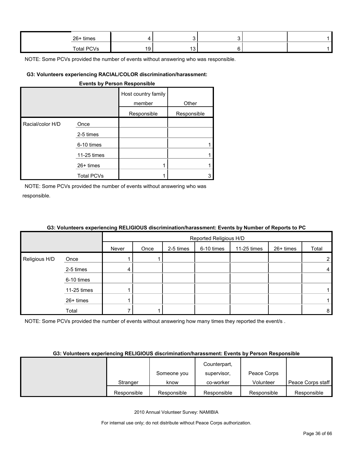| 26+ times         |  |  |  |
|-------------------|--|--|--|
| <b>Total PCVs</b> |  |  |  |

#### **G3: Volunteers experiencing RACIAL/COLOR discrimination/harassment:**

#### **Events by Person Responsible**

|                  |                   | Host country family<br>member | Other       |
|------------------|-------------------|-------------------------------|-------------|
|                  |                   | Responsible                   | Responsible |
| Racial/color H/D | Once              |                               |             |
|                  | 2-5 times         |                               |             |
|                  | 6-10 times        |                               |             |
|                  | 11-25 times       |                               |             |
|                  | $26+$ times       |                               |             |
|                  | <b>Total PCVs</b> |                               |             |

NOTE: Some PCVs provided the number of events without answering who was responsible.

|               | -- - - ------- <i>-</i> -- ---p -----------g - -==- - - - - - |       | Reported Religious H/D |           |            |             |           |                |
|---------------|---------------------------------------------------------------|-------|------------------------|-----------|------------|-------------|-----------|----------------|
|               |                                                               | Never | Once                   | 2-5 times | 6-10 times | 11-25 times | 26+ times | Total          |
| Religious H/D | Once                                                          |       |                        |           |            |             |           | 2 <sub>1</sub> |
|               | 2-5 times                                                     | 4     |                        |           |            |             |           | $\overline{4}$ |
|               | 6-10 times                                                    |       |                        |           |            |             |           |                |
|               | 11-25 times                                                   |       |                        |           |            |             |           |                |
|               | 26+ times                                                     |       |                        |           |            |             |           |                |
|               | Total                                                         |       |                        |           |            |             |           | 8              |

#### **G3: Volunteers experiencing RELIGIOUS discrimination/harassment: Events by Number of Reports to PC**

NOTE: Some PCVs provided the number of events without answering how many times they reported the event/s.

#### **G3: Volunteers experiencing RELIGIOUS discrimination/harassment: Events by Person Responsible**

|             |             | Counterpart, |             |                   |
|-------------|-------------|--------------|-------------|-------------------|
|             | Someone you | supervisor,  | Peace Corps |                   |
| Stranger    | know        | co-worker    | Volunteer   | Peace Corps staff |
| Responsible | Responsible | Responsible  | Responsible | Responsible       |

2010 Annual Volunteer Survey: NAMIBIA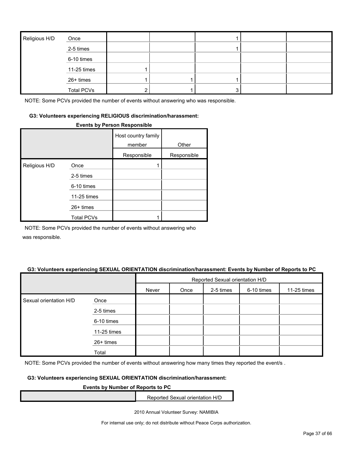| Religious H/D | Once              |   |  |  |
|---------------|-------------------|---|--|--|
|               | 2-5 times         |   |  |  |
|               | 6-10 times        |   |  |  |
|               | 11-25 times       |   |  |  |
|               | 26+ times         |   |  |  |
|               | <b>Total PCVs</b> | 2 |  |  |

#### **G3: Volunteers experiencing RELIGIOUS discrimination/harassment:**

#### **Events by Person Responsible**

|               |                   | Host country family<br>member | Other       |
|---------------|-------------------|-------------------------------|-------------|
|               |                   | Responsible                   | Responsible |
| Religious H/D | Once              |                               |             |
|               | 2-5 times         |                               |             |
|               | 6-10 times        |                               |             |
|               | 11-25 times       |                               |             |
|               | $26+$ times       |                               |             |
|               | <b>Total PCVs</b> |                               |             |

NOTE: Some PCVs provided the number of events without answering who

was responsible.

#### **G3: Volunteers experiencing SEXUAL ORIENTATION discrimination/harassment: Events by Number of Reports to PC**

|                        |             | Reported Sexual orientation H/D |      |           |            |             |  |
|------------------------|-------------|---------------------------------|------|-----------|------------|-------------|--|
|                        |             | Never                           | Once | 2-5 times | 6-10 times | 11-25 times |  |
| Sexual orientation H/D | Once        |                                 |      |           |            |             |  |
|                        | 2-5 times   |                                 |      |           |            |             |  |
|                        | 6-10 times  |                                 |      |           |            |             |  |
|                        | 11-25 times |                                 |      |           |            |             |  |
|                        | 26+ times   |                                 |      |           |            |             |  |
|                        | Total       |                                 |      |           |            |             |  |

NOTE: Some PCVs provided the number of events without answering how many times they reported the event/s.

#### **G3: Volunteers experiencing SEXUAL ORIENTATION discrimination/harassment:**

#### **Events by Number of Reports to PC**

Reported Sexual orientation H/D

2010 Annual Volunteer Survey: NAMIBIA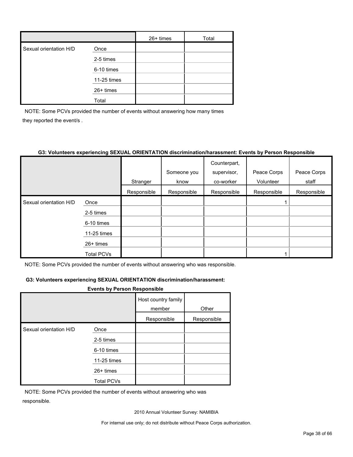|                        |             | $26+$ times | Total |
|------------------------|-------------|-------------|-------|
| Sexual orientation H/D | Once        |             |       |
|                        | 2-5 times   |             |       |
|                        | 6-10 times  |             |       |
|                        | 11-25 times |             |       |
|                        | 26+ times   |             |       |
|                        | Total       |             |       |

NOTE: Some PCVs provided the number of events without answering how many times they reported the event/s .

#### **G3: Volunteers experiencing SEXUAL ORIENTATION discrimination/harassment: Events by Person Responsible**

|                        |                   |             |             | Counterpart, |             |             |
|------------------------|-------------------|-------------|-------------|--------------|-------------|-------------|
|                        |                   |             | Someone you | supervisor,  | Peace Corps | Peace Corps |
|                        |                   | Stranger    | know        | co-worker    | Volunteer   | staff       |
|                        |                   | Responsible | Responsible | Responsible  | Responsible | Responsible |
| Sexual orientation H/D | Once              |             |             |              |             |             |
|                        | 2-5 times         |             |             |              |             |             |
|                        | 6-10 times        |             |             |              |             |             |
|                        | 11-25 times       |             |             |              |             |             |
|                        | $26+$ times       |             |             |              |             |             |
|                        | <b>Total PCVs</b> |             |             |              |             |             |

NOTE: Some PCVs provided the number of events without answering who was responsible.

#### **G3: Volunteers experiencing SEXUAL ORIENTATION discrimination/harassment:**

#### **Events by Person Responsible**

|                        | Host country family<br>member |             | Other       |
|------------------------|-------------------------------|-------------|-------------|
|                        |                               | Responsible | Responsible |
| Sexual orientation H/D | Once                          |             |             |
|                        | 2-5 times                     |             |             |
|                        | 6-10 times                    |             |             |
|                        | 11-25 times                   |             |             |
|                        | $26+$ times                   |             |             |
|                        | <b>Total PCVs</b>             |             |             |

NOTE: Some PCVs provided the number of events without answering who was responsible.

2010 Annual Volunteer Survey: NAMIBIA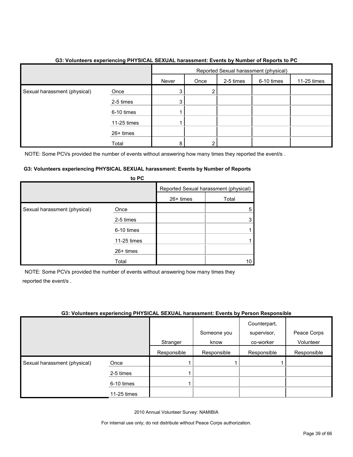|                              |             | Reported Sexual harassment (physical) |      |           |            |             |
|------------------------------|-------------|---------------------------------------|------|-----------|------------|-------------|
|                              |             | Never                                 | Once | 2-5 times | 6-10 times | 11-25 times |
| Sexual harassment (physical) | Once        | 3                                     | 2    |           |            |             |
|                              | 2-5 times   | 3                                     |      |           |            |             |
|                              | 6-10 times  |                                       |      |           |            |             |
|                              | 11-25 times |                                       |      |           |            |             |
|                              | 26+ times   |                                       |      |           |            |             |
|                              | Total       | 8                                     | າ    |           |            |             |

#### **G3: Volunteers experiencing PHYSICAL SEXUAL harassment: Events by Number of Reports to PC**

NOTE: Some PCVs provided the number of events without answering how many times they reported the event/s.

#### **G3: Volunteers experiencing PHYSICAL SEXUAL harassment: Events by Number of Reports to PC**

|                              | <b>U</b> rv |           |                                       |
|------------------------------|-------------|-----------|---------------------------------------|
|                              |             |           | Reported Sexual harassment (physical) |
|                              |             | 26+ times | Total                                 |
| Sexual harassment (physical) | Once        |           | 5                                     |
|                              | 2-5 times   |           |                                       |
|                              | 6-10 times  |           |                                       |
|                              | 11-25 times |           |                                       |
|                              | $26+$ times |           |                                       |
|                              | Total       |           |                                       |

NOTE: Some PCVs provided the number of events without answering how many times they reported the event/s .

#### **G3: Volunteers experiencing PHYSICAL SEXUAL harassment: Events by Person Responsible**

|                              |             |             | Someone you | Counterpart,<br>supervisor, | Peace Corps |
|------------------------------|-------------|-------------|-------------|-----------------------------|-------------|
|                              |             | Stranger    | know        | co-worker                   | Volunteer   |
|                              |             | Responsible | Responsible | Responsible                 | Responsible |
| Sexual harassment (physical) | Once        |             |             |                             |             |
|                              | 2-5 times   |             |             |                             |             |
|                              | 6-10 times  |             |             |                             |             |
|                              | 11-25 times |             |             |                             |             |

2010 Annual Volunteer Survey: NAMIBIA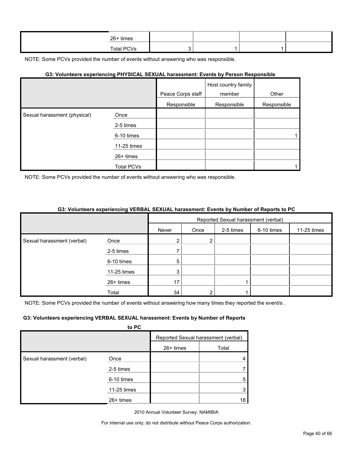| 26+ times  |  |  |
|------------|--|--|
| Total PCVs |  |  |

#### **G3: Volunteers experiencing PHYSICAL SEXUAL harassment: Events by Person Responsible**

|                              |                   |                   | Host country family |             |
|------------------------------|-------------------|-------------------|---------------------|-------------|
|                              |                   | Peace Corps staff | member              | Other       |
|                              |                   | Responsible       | Responsible         | Responsible |
| Sexual harassment (physical) | Once              |                   |                     |             |
|                              | 2-5 times         |                   |                     |             |
|                              | 6-10 times        |                   |                     |             |
|                              | 11-25 times       |                   |                     |             |
|                              | 26+ times         |                   |                     |             |
|                              | <b>Total PCVs</b> |                   |                     |             |

NOTE: Some PCVs provided the number of events without answering who was responsible.

#### **G3: Volunteers experiencing VERBAL SEXUAL harassment: Events by Number of Reports to PC**

|                            |             | Reported Sexual harassment (verbal) |      |           |            |             |
|----------------------------|-------------|-------------------------------------|------|-----------|------------|-------------|
|                            |             | Never                               | Once | 2-5 times | 6-10 times | 11-25 times |
| Sexual harassment (verbal) | Once        |                                     | ົ    |           |            |             |
|                            | 2-5 times   |                                     |      |           |            |             |
|                            | 6-10 times  | 5                                   |      |           |            |             |
|                            | 11-25 times | 3                                   |      |           |            |             |
|                            | 26+ times   | 17                                  |      |           |            |             |
|                            | Total       | 34                                  |      |           |            |             |

NOTE: Some PCVs provided the number of events without answering how many times they reported the event/s.

#### **G3: Volunteers experiencing VERBAL SEXUAL harassment: Events by Number of Reports**

|                            | to PC       |             |                                     |
|----------------------------|-------------|-------------|-------------------------------------|
|                            |             |             | Reported Sexual harassment (verbal) |
|                            |             | $26+$ times | Total                               |
| Sexual harassment (verbal) | Once        |             |                                     |
|                            | 2-5 times   |             |                                     |
|                            | 6-10 times  |             | 5                                   |
|                            | 11-25 times |             | 3                                   |
|                            | $26+$ times |             | 18                                  |

2010 Annual Volunteer Survey: NAMIBIA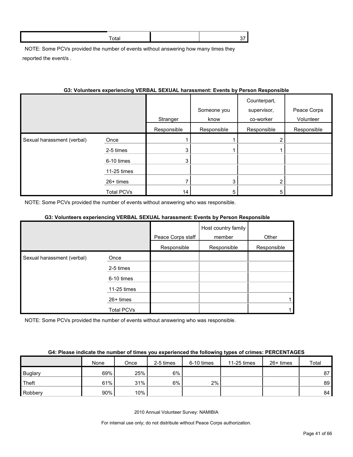NOTE: Some PCVs provided the number of events without answering how many times they reported the event/s .

#### **G3: Volunteers experiencing VERBAL SEXUAL harassment: Events by Person Responsible**

|                            |                   | Stranger    | Someone you<br>know | Counterpart,<br>supervisor,<br>co-worker | Peace Corps<br>Volunteer |
|----------------------------|-------------------|-------------|---------------------|------------------------------------------|--------------------------|
|                            |                   | Responsible | Responsible         | Responsible                              | Responsible              |
| Sexual harassment (verbal) | Once              |             |                     |                                          |                          |
|                            | 2-5 times         | 3           |                     |                                          |                          |
|                            | 6-10 times        | 3           |                     |                                          |                          |
|                            | 11-25 times       |             |                     |                                          |                          |
|                            | 26+ times         |             | 3                   | 2                                        |                          |
|                            | <b>Total PCVs</b> | 14          | 5                   | 5                                        |                          |

NOTE: Some PCVs provided the number of events without answering who was responsible.

#### **G3: Volunteers experiencing VERBAL SEXUAL harassment: Events by Person Responsible**

|                            |                   |                   | Host country family |             |
|----------------------------|-------------------|-------------------|---------------------|-------------|
|                            |                   | Peace Corps staff | member              | Other       |
|                            |                   | Responsible       | Responsible         | Responsible |
| Sexual harassment (verbal) | Once              |                   |                     |             |
|                            | 2-5 times         |                   |                     |             |
|                            | 6-10 times        |                   |                     |             |
|                            | 11-25 times       |                   |                     |             |
|                            | 26+ times         |                   |                     |             |
|                            | <b>Total PCVs</b> |                   |                     |             |

NOTE: Some PCVs provided the number of events without answering who was responsible.

#### **G4: Please indicate the number of times you experienced the following types of crimes: PERCENTAGES**

|                | None | Once | 2-5 times | 6-10 times | 11-25 times | $26+$ times | Total |
|----------------|------|------|-----------|------------|-------------|-------------|-------|
| <b>Buglary</b> | 69%  | 25%  | $6\%$     |            |             |             | 87    |
| Theft          | 61%  | 31%  | 6%        | 2%         |             |             | 89    |
| Robbery        | 90%  | 10%  |           |            |             |             | 84    |

2010 Annual Volunteer Survey: NAMIBIA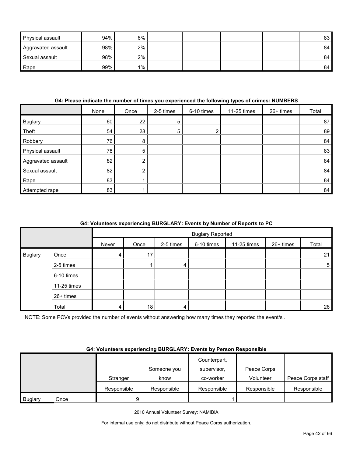| <b>Physical assault</b> | 94% | 6%    |  |  | 83 |
|-------------------------|-----|-------|--|--|----|
| Aggravated assault      | 98% | 2%    |  |  | 84 |
| Sexual assault          | 98% | 2%    |  |  | 84 |
| Rape                    | 99% | $1\%$ |  |  | 84 |

#### **G4: Please indicate the number of times you experienced the following types of crimes: NUMBERS**

|                    | None | Once | 2-5 times | 6-10 times | 11-25 times | 26+ times | Total |
|--------------------|------|------|-----------|------------|-------------|-----------|-------|
| Buglary            | 60   | 22   | 5         |            |             |           | 87    |
| Theft              | 54   | 28   | 5         |            |             |           | 89    |
| Robbery            | 76   | 8    |           |            |             |           | 84    |
| Physical assault   | 78   | 5    |           |            |             |           | 83    |
| Aggravated assault | 82   | ⌒    |           |            |             |           | 84    |
| Sexual assault     | 82   | ົ    |           |            |             |           | 84    |
| Rape               | 83   |      |           |            |             |           | 84    |
| Attempted rape     | 83   |      |           |            |             |           | 84    |

#### **G4: Volunteers experiencing BURGLARY: Events by Number of Reports to PC**

|                |             |       | <b>Buglary Reported</b> |           |            |             |           |                 |
|----------------|-------------|-------|-------------------------|-----------|------------|-------------|-----------|-----------------|
|                |             | Never | Once                    | 2-5 times | 6-10 times | 11-25 times | 26+ times | Total           |
| <b>Buglary</b> | Once        | 4     | 17                      |           |            |             |           | 21              |
|                | 2-5 times   |       |                         | 4         |            |             |           | $5\phantom{.0}$ |
|                | 6-10 times  |       |                         |           |            |             |           |                 |
|                | 11-25 times |       |                         |           |            |             |           |                 |
|                | 26+ times   |       |                         |           |            |             |           |                 |
|                | Total       | 4     | 18                      | 4         |            |             |           | 26              |

NOTE: Some PCVs provided the number of events without answering how many times they reported the event/s .

#### **G4: Volunteers experiencing BURGLARY: Events by Person Responsible**

|                |      |             |             | Counterpart, |             |                   |
|----------------|------|-------------|-------------|--------------|-------------|-------------------|
|                |      |             | Someone you | supervisor.  | Peace Corps |                   |
|                |      | Stranger    | know        | co-worker    | Volunteer   | Peace Corps staff |
|                |      | Responsible | Responsible | Responsible  | Responsible | Responsible       |
| <b>Buglary</b> | Once | 9           |             |              |             |                   |

2010 Annual Volunteer Survey: NAMIBIA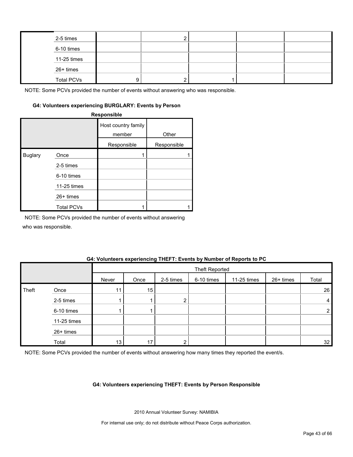| 2-5 times         |   |  |  |
|-------------------|---|--|--|
| 6-10 times        |   |  |  |
| 11-25 times       |   |  |  |
| 26+ times         |   |  |  |
| <b>Total PCVs</b> | a |  |  |

#### **G4: Volunteers experiencing BURGLARY: Events by Person**

**Responsible**

|                |                   | Host country family<br>member<br>Responsible | Other<br>Responsible |
|----------------|-------------------|----------------------------------------------|----------------------|
| <b>Buglary</b> | Once              |                                              |                      |
|                | 2-5 times         |                                              |                      |
|                | 6-10 times        |                                              |                      |
|                | 11-25 times       |                                              |                      |
|                | $26+$ times       |                                              |                      |
|                | <b>Total PCVs</b> |                                              |                      |

NOTE: Some PCVs provided the number of events without answering

who was responsible.

#### **G4: Volunteers experiencing THEFT: Events by Number of Reports to PC**

|       |             |                 | Theft Reported |           |            |             |           |                |  |
|-------|-------------|-----------------|----------------|-----------|------------|-------------|-----------|----------------|--|
|       |             | Never           | Once           | 2-5 times | 6-10 times | 11-25 times | 26+ times | Total          |  |
| Theft | Once        | 11 <sub>1</sub> | 15             |           |            |             |           | 26             |  |
|       | 2-5 times   |                 |                | ◠         |            |             |           | $\overline{4}$ |  |
|       | 6-10 times  |                 |                |           |            |             |           | $\overline{2}$ |  |
|       | 11-25 times |                 |                |           |            |             |           |                |  |
|       | 26+ times   |                 |                |           |            |             |           |                |  |
|       | Total       | 13 <sub>1</sub> | 17             |           |            |             |           | 32             |  |

NOTE: Some PCVs provided the number of events without answering how many times they reported the event/s.

#### **G4: Volunteers experiencing THEFT: Events by Person Responsible**

2010 Annual Volunteer Survey: NAMIBIA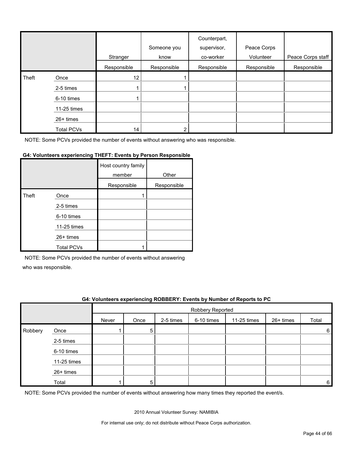|       |                   | Stranger        | Someone you<br>know | Counterpart,<br>supervisor,<br>co-worker | Peace Corps<br>Volunteer | Peace Corps staff |
|-------|-------------------|-----------------|---------------------|------------------------------------------|--------------------------|-------------------|
|       |                   | Responsible     | Responsible         | Responsible                              | Responsible              | Responsible       |
| Theft | Once              | 12 <sub>2</sub> |                     |                                          |                          |                   |
|       | 2-5 times         |                 |                     |                                          |                          |                   |
|       | 6-10 times        |                 |                     |                                          |                          |                   |
|       | 11-25 times       |                 |                     |                                          |                          |                   |
|       | $26+$ times       |                 |                     |                                          |                          |                   |
|       | <b>Total PCVs</b> | 14              | ົ                   |                                          |                          |                   |

#### **G4: Volunteers experiencing THEFT: Events by Person Responsible**

|       |                   | Host country family<br>member | Other       |
|-------|-------------------|-------------------------------|-------------|
|       |                   | Responsible                   | Responsible |
| Theft | Once              |                               |             |
|       | 2-5 times         |                               |             |
|       | 6-10 times        |                               |             |
|       | 11-25 times       |                               |             |
|       | 26+ times         |                               |             |
|       | <b>Total PCVs</b> |                               |             |

NOTE: Some PCVs provided the number of events without answering

who was responsible.

#### **G4: Volunteers experiencing ROBBERY: Events by Number of Reports to PC**

|         |             |       | Robbery Reported |           |            |             |           |        |  |
|---------|-------------|-------|------------------|-----------|------------|-------------|-----------|--------|--|
|         |             | Never | Once             | 2-5 times | 6-10 times | 11-25 times | 26+ times | Total  |  |
| Robbery | Once        |       | 5                |           |            |             |           | 6      |  |
|         | 2-5 times   |       |                  |           |            |             |           |        |  |
|         | 6-10 times  |       |                  |           |            |             |           |        |  |
|         | 11-25 times |       |                  |           |            |             |           |        |  |
|         | 26+ times   |       |                  |           |            |             |           |        |  |
|         | Total       |       | 5                |           |            |             |           | $6 \,$ |  |

NOTE: Some PCVs provided the number of events without answering how many times they reported the event/s.

2010 Annual Volunteer Survey: NAMIBIA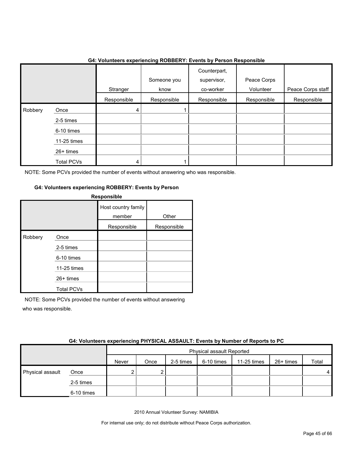|         |                   | - -- - ----------- ---p-----------g----- |                     |                                          |                          |                   |
|---------|-------------------|------------------------------------------|---------------------|------------------------------------------|--------------------------|-------------------|
|         |                   | Stranger                                 | Someone you<br>know | Counterpart,<br>supervisor,<br>co-worker | Peace Corps<br>Volunteer | Peace Corps staff |
|         |                   | Responsible                              | Responsible         | Responsible                              | Responsible              | Responsible       |
| Robbery | Once              | 4                                        |                     |                                          |                          |                   |
|         | 2-5 times         |                                          |                     |                                          |                          |                   |
|         | 6-10 times        |                                          |                     |                                          |                          |                   |
|         | 11-25 times       |                                          |                     |                                          |                          |                   |
|         | 26+ times         |                                          |                     |                                          |                          |                   |
|         | <b>Total PCVs</b> | 4                                        |                     |                                          |                          |                   |

#### **G4: Volunteers experiencing ROBBERY: Events by Person Responsible**

NOTE: Some PCVs provided the number of events without answering who was responsible.

#### **G4: Volunteers experiencing ROBBERY: Events by Person**

|         |                   | Responsible                   |             |
|---------|-------------------|-------------------------------|-------------|
|         |                   | Host country family<br>member | Other       |
|         |                   | Responsible                   | Responsible |
| Robbery | Once              |                               |             |
|         | 2-5 times         |                               |             |
|         | 6-10 times        |                               |             |
|         | 11-25 times       |                               |             |
|         | $26+$ times       |                               |             |
|         | <b>Total PCVs</b> |                               |             |

NOTE: Some PCVs provided the number of events without answering who was responsible.

| G4: Volunteers experiencing PHYSICAL ASSAULT: Events by Number of Reports to PC |  |  |  |  |
|---------------------------------------------------------------------------------|--|--|--|--|
|                                                                                 |  |  |  |  |
|                                                                                 |  |  |  |  |

|                  |            | Physical assault Reported |      |           |            |             |           |       |
|------------------|------------|---------------------------|------|-----------|------------|-------------|-----------|-------|
|                  |            | Never                     | Once | 2-5 times | 6-10 times | 11-25 times | 26+ times | Total |
| Physical assault | Once       |                           |      |           |            |             |           | 4     |
|                  | 2-5 times  |                           |      |           |            |             |           |       |
|                  | 6-10 times |                           |      |           |            |             |           |       |

2010 Annual Volunteer Survey: NAMIBIA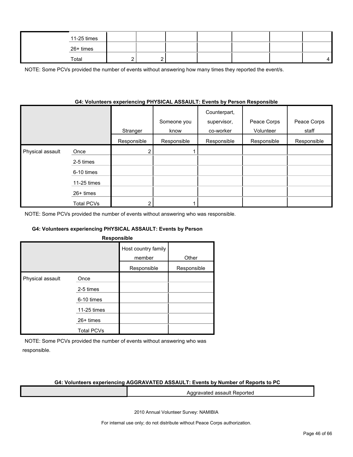| 11-25 times |  |  |  |  |
|-------------|--|--|--|--|
| 26+ times   |  |  |  |  |
| Total       |  |  |  |  |

NOTE: Some PCVs provided the number of events without answering how many times they reported the event/s.

#### **G4: Volunteers experiencing PHYSICAL ASSAULT: Events by Person Responsible**

|                  |                   | Stranger    | Someone you<br>know | Counterpart,<br>supervisor,<br>co-worker | Peace Corps<br>Volunteer | Peace Corps<br>staff |
|------------------|-------------------|-------------|---------------------|------------------------------------------|--------------------------|----------------------|
|                  |                   | Responsible | Responsible         | Responsible                              | Responsible              | Responsible          |
| Physical assault | Once              |             |                     |                                          |                          |                      |
|                  | 2-5 times         |             |                     |                                          |                          |                      |
|                  | 6-10 times        |             |                     |                                          |                          |                      |
|                  | 11-25 times       |             |                     |                                          |                          |                      |
|                  | $26+$ times       |             |                     |                                          |                          |                      |
|                  | <b>Total PCVs</b> |             |                     |                                          |                          |                      |

NOTE: Some PCVs provided the number of events without answering who was responsible.

#### **G4: Volunteers experiencing PHYSICAL ASSAULT: Events by Person**

| <b>Responsible</b> |
|--------------------|
|--------------------|

|                  |                   | Host country family<br>member | Other       |
|------------------|-------------------|-------------------------------|-------------|
|                  |                   | Responsible                   | Responsible |
| Physical assault | Once              |                               |             |
|                  | 2-5 times         |                               |             |
|                  | 6-10 times        |                               |             |
|                  | 11-25 times       |                               |             |
|                  | $26+$ times       |                               |             |
|                  | <b>Total PCVs</b> |                               |             |

NOTE: Some PCVs provided the number of events without answering who was responsible.

#### **G4: Volunteers experiencing AGGRAVATED ASSAULT: Events by Number of Reports to PC**

Aggravated assault Reported

2010 Annual Volunteer Survey: NAMIBIA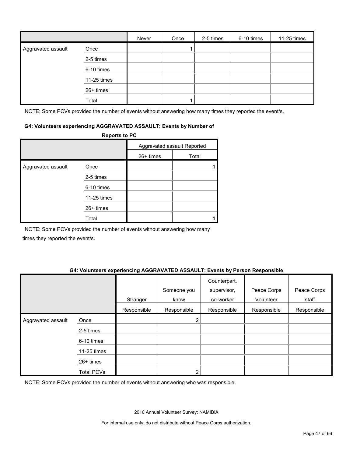|                    |             | Never | Once | 2-5 times | 6-10 times | 11-25 times |
|--------------------|-------------|-------|------|-----------|------------|-------------|
| Aggravated assault | Once        |       |      |           |            |             |
|                    | 2-5 times   |       |      |           |            |             |
|                    | 6-10 times  |       |      |           |            |             |
|                    | 11-25 times |       |      |           |            |             |
|                    | 26+ times   |       |      |           |            |             |
|                    | Total       |       |      |           |            |             |

NOTE: Some PCVs provided the number of events without answering how many times they reported the event/s.

#### **G4: Volunteers experiencing AGGRAVATED ASSAULT: Events by Number of**

|                    | <b>Reports to PC</b> |                             |       |  |  |
|--------------------|----------------------|-----------------------------|-------|--|--|
|                    |                      | Aggravated assault Reported |       |  |  |
|                    |                      | $26+$ times                 | Total |  |  |
| Aggravated assault | Once                 |                             |       |  |  |
|                    | 2-5 times            |                             |       |  |  |
|                    | 6-10 times           |                             |       |  |  |
|                    | 11-25 times          |                             |       |  |  |
|                    | $26+$ times          |                             |       |  |  |
|                    | Total                |                             |       |  |  |

NOTE: Some PCVs provided the number of events without answering how many times they reported the event/s.

#### **G4: Volunteers experiencing AGGRAVATED ASSAULT: Events by Person Responsible**

|                    |                   | Stranger    | Someone you<br>know | Counterpart,<br>supervisor,<br>co-worker | Peace Corps<br>Volunteer | Peace Corps<br>staff |
|--------------------|-------------------|-------------|---------------------|------------------------------------------|--------------------------|----------------------|
|                    |                   | Responsible | Responsible         | Responsible                              | Responsible              | Responsible          |
| Aggravated assault | Once              |             | 2                   |                                          |                          |                      |
|                    | 2-5 times         |             |                     |                                          |                          |                      |
|                    | 6-10 times        |             |                     |                                          |                          |                      |
|                    | 11-25 times       |             |                     |                                          |                          |                      |
|                    | $26+$ times       |             |                     |                                          |                          |                      |
|                    | <b>Total PCVs</b> |             | 2                   |                                          |                          |                      |

NOTE: Some PCVs provided the number of events without answering who was responsible.

2010 Annual Volunteer Survey: NAMIBIA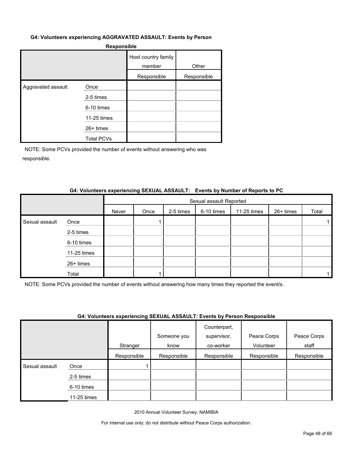#### **G4: Volunteers experiencing AGGRAVATED ASSAULT: Events by Person**

|                    |                   | Host country family<br>member | Other       |
|--------------------|-------------------|-------------------------------|-------------|
|                    |                   | Responsible                   | Responsible |
| Aggravated assault | Once              |                               |             |
|                    | 2-5 times         |                               |             |
|                    | 6-10 times        |                               |             |
|                    | 11-25 times       |                               |             |
|                    | $26+$ times       |                               |             |
|                    | <b>Total PCVs</b> |                               |             |

NOTE: Some PCVs provided the number of events without answering who was responsible.

#### **G4: Volunteers experiencing SEXUAL ASSAULT: Events by Number of Reports to PC**

|                |             | Sexual assault Reported |      |           |            |             |           |       |
|----------------|-------------|-------------------------|------|-----------|------------|-------------|-----------|-------|
|                |             | Never                   | Once | 2-5 times | 6-10 times | 11-25 times | 26+ times | Total |
| Sexual assault | Once        |                         |      |           |            |             |           |       |
|                | 2-5 times   |                         |      |           |            |             |           |       |
|                | 6-10 times  |                         |      |           |            |             |           |       |
|                | 11-25 times |                         |      |           |            |             |           |       |
|                | 26+ times   |                         |      |           |            |             |           |       |
|                | Total       |                         |      |           |            |             |           |       |

NOTE: Some PCVs provided the number of events without answering how many times they reported the event/s.

#### **G4: Volunteers experiencing SEXUAL ASSAULT: Events by Person Responsible**

|                |             | .           |             | Counterpart, |             |             |
|----------------|-------------|-------------|-------------|--------------|-------------|-------------|
|                |             |             | Someone you | supervisor,  | Peace Corps | Peace Corps |
|                |             | Stranger    | know        | co-worker    | Volunteer   | staff       |
|                |             | Responsible | Responsible | Responsible  | Responsible | Responsible |
| Sexual assault | Once        |             |             |              |             |             |
|                | 2-5 times   |             |             |              |             |             |
|                | 6-10 times  |             |             |              |             |             |
|                | 11-25 times |             |             |              |             |             |

2010 Annual Volunteer Survey: NAMIBIA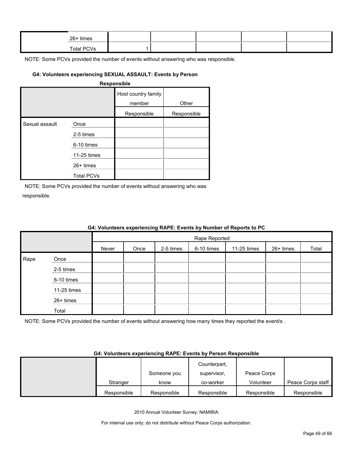| 26+ times  |  |  |  |
|------------|--|--|--|
| Total PCVs |  |  |  |

#### **G4: Volunteers experiencing SEXUAL ASSAULT: Events by Person**

#### **Responsible**

|                |                   | Host country family<br>member | Other       |
|----------------|-------------------|-------------------------------|-------------|
|                |                   | Responsible                   | Responsible |
| Sexual assault | Once              |                               |             |
|                | 2-5 times         |                               |             |
|                | 6-10 times        |                               |             |
|                | 11-25 times       |                               |             |
|                | $26+$ times       |                               |             |
|                | <b>Total PCVs</b> |                               |             |

NOTE: Some PCVs provided the number of events without answering who was responsible.

Total

|      |             |       |      |           |               | G4: Volunteers experiencing RAPE: Events by Number of Reports to PC |           |       |
|------|-------------|-------|------|-----------|---------------|---------------------------------------------------------------------|-----------|-------|
|      |             |       |      |           | Rape Reported |                                                                     |           |       |
|      |             | Never | Once | 2-5 times | 6-10 times    | 11-25 times                                                         | 26+ times | Total |
| Rape | Once        |       |      |           |               |                                                                     |           |       |
|      | 2-5 times   |       |      |           |               |                                                                     |           |       |
|      | 6-10 times  |       |      |           |               |                                                                     |           |       |
|      | 11-25 times |       |      |           |               |                                                                     |           |       |
|      | 26+ times   |       |      |           |               |                                                                     |           |       |

#### **G4: Volunteers experiencing RAPE: Events by Number of Reports to PC**

NOTE: Some PCVs provided the number of events without answering how many times they reported the event/s .

#### **G4: Volunteers experiencing RAPE: Events by Person Responsible**

|             |             | Counterpart, |             |                   |
|-------------|-------------|--------------|-------------|-------------------|
|             | Someone you | supervisor.  | Peace Corps |                   |
| Stranger    | know        | co-worker    | Volunteer   | Peace Corps staff |
| Responsible | Responsible | Responsible  | Responsible | Responsible       |

2010 Annual Volunteer Survey: NAMIBIA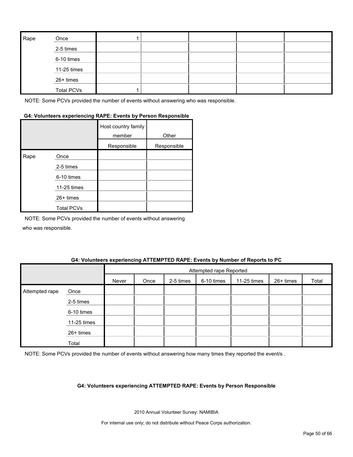| Rape | Once              |  |  |  |
|------|-------------------|--|--|--|
|      | 2-5 times         |  |  |  |
|      | 6-10 times        |  |  |  |
|      | 11-25 times       |  |  |  |
|      | 26+ times         |  |  |  |
|      | <b>Total PCVs</b> |  |  |  |

#### **G4: Volunteers experiencing RAPE: Events by Person Responsible**

|      |                   | Host country family<br>member | Other       |
|------|-------------------|-------------------------------|-------------|
|      |                   | Responsible                   | Responsible |
| Rape | Once              |                               |             |
|      | 2-5 times         |                               |             |
|      | 6-10 times        |                               |             |
|      | 11-25 times       |                               |             |
|      | 26+ times         |                               |             |
|      | <b>Total PCVs</b> |                               |             |

NOTE: Some PCVs provided the number of events without answering who was responsible.

#### **G4: Volunteers experiencing ATTEMPTED RAPE: Events by Number of Reports to PC**

|                |             |       | Attempted rape Reported |           |            |             |           |       |
|----------------|-------------|-------|-------------------------|-----------|------------|-------------|-----------|-------|
|                |             | Never | Once                    | 2-5 times | 6-10 times | 11-25 times | 26+ times | Total |
| Attempted rape | Once        |       |                         |           |            |             |           |       |
|                | 2-5 times   |       |                         |           |            |             |           |       |
|                | 6-10 times  |       |                         |           |            |             |           |       |
|                | 11-25 times |       |                         |           |            |             |           |       |
|                | 26+ times   |       |                         |           |            |             |           |       |
|                | Total       |       |                         |           |            |             |           |       |

NOTE: Some PCVs provided the number of events without answering how many times they reported the event/s .

#### **G4: Volunteers experiencing ATTEMPTED RAPE: Events by Person Responsible**

2010 Annual Volunteer Survey: NAMIBIA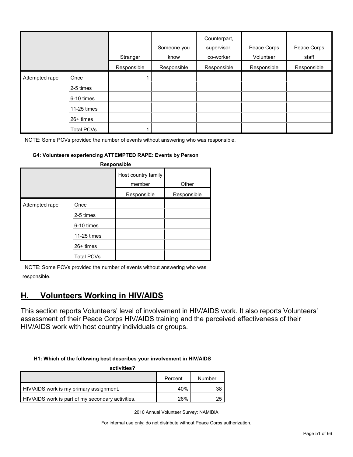|                     |                   | Stranger    | Someone you<br>know | Counterpart,<br>supervisor,<br>co-worker | Peace Corps<br>Volunteer | Peace Corps<br>staff |
|---------------------|-------------------|-------------|---------------------|------------------------------------------|--------------------------|----------------------|
|                     |                   | Responsible | Responsible         | Responsible                              | Responsible              | Responsible          |
| Attempted rape<br>I | Once              |             |                     |                                          |                          |                      |
|                     | 2-5 times         |             |                     |                                          |                          |                      |
|                     | 6-10 times        |             |                     |                                          |                          |                      |
|                     | 11-25 times       |             |                     |                                          |                          |                      |
|                     | $26+$ times       |             |                     |                                          |                          |                      |
|                     | <b>Total PCVs</b> |             |                     |                                          |                          |                      |

#### **G4: Volunteers experiencing ATTEMPTED RAPE: Events by Person**

|                                                               |                               | Responsible |  |  |  |  |  |  |  |  |
|---------------------------------------------------------------|-------------------------------|-------------|--|--|--|--|--|--|--|--|
|                                                               | Host country family<br>member | Other       |  |  |  |  |  |  |  |  |
|                                                               | Responsible                   | Responsible |  |  |  |  |  |  |  |  |
| Once<br>2-5 times<br>6-10 times<br>11-25 times<br>$26+$ times |                               |             |  |  |  |  |  |  |  |  |
|                                                               | <b>Total PCVs</b>             |             |  |  |  |  |  |  |  |  |

NOTE: Some PCVs provided the number of events without answering who was responsible.

# <span id="page-50-0"></span>**H. Volunteers Working in HIV/AIDS**

This section reports Volunteers' level of involvement in HIV/AIDS work. It also reports Volunteers' assessment of their Peace Corps HIV/AIDS training and the perceived effectiveness of their HIV/AIDS work with host country individuals or groups.

#### **H1: Which of the following best describes your involvement in HIV/AIDS**

| activities?                                       |         |        |  |  |  |  |
|---------------------------------------------------|---------|--------|--|--|--|--|
|                                                   | Percent | Number |  |  |  |  |
| HIV/AIDS work is my primary assignment.           | 40%     |        |  |  |  |  |
| HIV/AIDS work is part of my secondary activities. | 26%     |        |  |  |  |  |

2010 Annual Volunteer Survey: NAMIBIA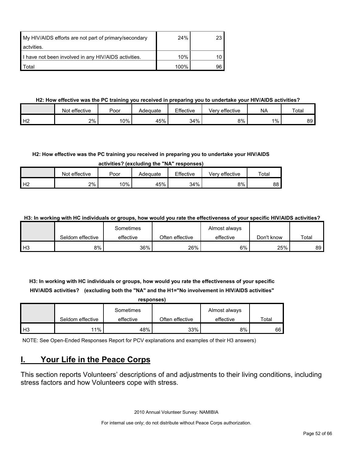| My HIV/AIDS efforts are not part of primary/secondary | 24%  | 23 I |
|-------------------------------------------------------|------|------|
| actvities.                                            |      |      |
| I have not been involved in any HIV/AIDS activities.  | 10%  |      |
| Total                                                 | 100% | 96   |

#### **H2: How effective was the PC training you received in preparing you to undertake your HIV/AIDS activities?**

|                | Not effective | Poor  | Adeɑuate | Effective | ' effective<br>Verv | <b>NA</b> | Total |
|----------------|---------------|-------|----------|-----------|---------------------|-----------|-------|
| H <sub>2</sub> | 2%            | $0\%$ | 45%      | 34%       | 8%                  | $1\%$     | 89    |

#### **H2: How effective was the PC training you received in preparing you to undertake your HIV/AIDS**

**activities? (excluding the "NA" responses)**

|                | effective<br>Not | Poor | Adequate | Effective | effective<br>√erv | $\tau$ <sub>ota</sub> |
|----------------|------------------|------|----------|-----------|-------------------|-----------------------|
| H <sub>2</sub> | 2%               | 10%  | 45%      | 34%       | 8%                | 88                    |

**H3: In working with HC individuals or groups, how would you rate the effectiveness of your specific HIV/AIDS activities?** 

|                |                  | Sometimes |                 | Almost always |            |       |
|----------------|------------------|-----------|-----------------|---------------|------------|-------|
|                | Seldom effective | effective | Often effective | effective     | Don't know | Total |
| H <sub>3</sub> | 8%               | 36%       | 26%             | 6%            | 25%        | 89    |

**H3: In working with HC individuals or groups, how would you rate the effectiveness of your specific HIV/AIDS activities? (excluding both the "NA" and the H1="No involvement in HIV/AIDS activities"** 

|                |                  | responses) |                 |               |       |  |  |  |  |
|----------------|------------------|------------|-----------------|---------------|-------|--|--|--|--|
|                |                  | Sometimes  |                 | Almost always |       |  |  |  |  |
|                | Seldom effective | effective  | Often effective | effective     | Total |  |  |  |  |
| H <sub>3</sub> | $11\%$           | 48%        | 33%             | 8%            | 66    |  |  |  |  |

NOTE: See Open-Ended Responses Report for PCV explanations and examples of their H3 answers)

# <span id="page-51-0"></span>**I. Your Life in the Peace Corps**

This section reports Volunteers' descriptions of and adjustments to their living conditions, including stress factors and how Volunteers cope with stress.

2010 Annual Volunteer Survey: NAMIBIA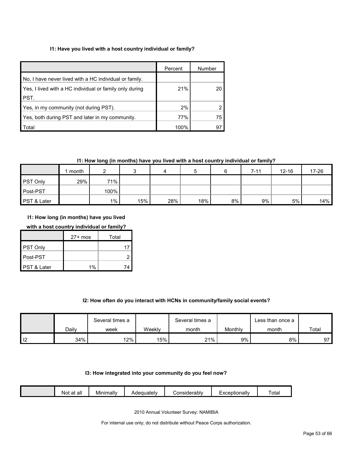#### **I1: Have you lived with a host country individual or family?**

|                                                         | Percent | Number |
|---------------------------------------------------------|---------|--------|
| No. I have never lived with a HC individual or family.  |         |        |
| Yes, I lived with a HC individual or family only during | 21%     |        |
| PST.                                                    |         |        |
| Yes, in my community (not during PST).                  | 2%      |        |
| Yes, both during PST and later in my community.         | 77%     | 75     |
| Total                                                   | 100%    |        |

#### **I1: How long (in months) have you lived with a host country individual or family?**

|                        | month |       |     |     | ۰.  |    | $7 - 11$ | $12 - 16$ | 17-26 |
|------------------------|-------|-------|-----|-----|-----|----|----------|-----------|-------|
| <b>PST Only</b>        | 29%   | 71%   |     |     |     |    |          |           |       |
| Post-PST               |       | 100%  |     |     |     |    |          |           |       |
| <b>PST &amp; Later</b> |       | $1\%$ | 15% | 28% | 18% | 8% | 9%       | 5%        | 14%   |

**I1: How long (in months) have you lived** 

#### **with a host country individual or family?**

|             | $27+$ mos | Total |
|-------------|-----------|-------|
| PST Only    |           | 17    |
| Post-PST    |           |       |
| PST & Later | 1%        |       |

#### **I2: How often do you interact with HCNs in community/family social events?**

|       | Several times a |        | Several times a |         | Less than once a |       |
|-------|-----------------|--------|-----------------|---------|------------------|-------|
| Dailv | week            | Weekly | month           | Monthly | month            | Total |
| 34%   | 12%             | 15%    | 21%             | $9\%$ . | 8%               | 97    |

#### **I3: How integrated into your community do you feel now?**

| - -<br><br><br>Tota.<br>onsiderablv;<br>Adequately<br>.otionallv<br>Minimally<br>all<br>$\sim$<br>ΝΟί<br>dι<br>_ |  |
|------------------------------------------------------------------------------------------------------------------|--|
|------------------------------------------------------------------------------------------------------------------|--|

2010 Annual Volunteer Survey: NAMIBIA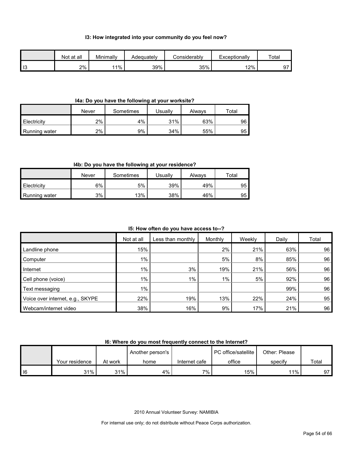#### **I3: How integrated into your community do you feel now?**

|                | Not at all | Minimally | Adeauatelv | Considerablv | Exceptionally | Total  |
|----------------|------------|-----------|------------|--------------|---------------|--------|
| $\blacksquare$ | 2%         | 11%       | 39%        | 35%          | 12%           | $\sim$ |

#### **I4a: Do you have the following at your worksite?**

|               | Never | Sometimes | Jsually | Alwavs | $\tau$ otal |
|---------------|-------|-----------|---------|--------|-------------|
| Electricity   | 2%    | 4%        | 31%     | 63%    | 96          |
| Running water | 2%    | 9%        | 34%     | 55%    | 95          |

#### **I4b: Do you have the following at your residence?**

|               | Never | Sometimes | Usuallv | Alwavs | ™ota⊩ |
|---------------|-------|-----------|---------|--------|-------|
| Electricity   | 6%    | 5%        | 39%     | 49%    | 95    |
| Running water | 3%    | 13%       | 38%     | 46%    | 95    |

#### **I5: How often do you have access to--?**

|                                  | Not at all | Less than monthly | Monthly | Weekly | Daily | Total |
|----------------------------------|------------|-------------------|---------|--------|-------|-------|
| Landline phone                   | 15%        |                   | 2%      | 21%    | 63%   | 96    |
| Computer                         | $1\%$      |                   | 5%      | 8%     | 85%   | 96    |
| Internet                         | $1\%$      | 3%                | 19%     | 21%    | 56%   | 96    |
| Cell phone (voice)               | $1\%$      | $1\%$             | $1\%$   | 5%     | 92%   | 96    |
| Text messaging                   | $1\%$      |                   |         |        | 99%   | 96    |
| Voice over internet, e.g., SKYPE | 22%        | 19%               | 13%     | 22%    | 24%   | 95    |
| Webcam/internet video            | 38%        | 16%               | 9%      | 17%    | 21%   | 96    |

**I6: Where do you most frequently connect to the Internet?**

|        |                |         | Another person's |               | PC office/satellite | Other: Please |       |
|--------|----------------|---------|------------------|---------------|---------------------|---------------|-------|
|        | Your residence | At work | home             | Internet cafe | office              | specify       | Total |
| $ $ 16 | 31%            | 31%     | 4%               | $7\%$         | 15%                 | 11%           | а7    |

2010 Annual Volunteer Survey: NAMIBIA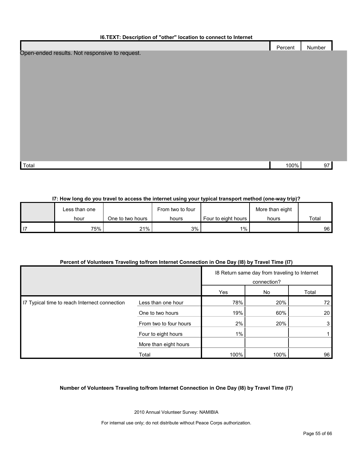#### **I6.TEXT: Description of "other" location to connect to Internet**

|                                                | Percent | Number |  |
|------------------------------------------------|---------|--------|--|
| Open-ended results. Not responsive to request. |         |        |  |
|                                                |         |        |  |
|                                                |         |        |  |
|                                                |         |        |  |
|                                                |         |        |  |
|                                                |         |        |  |
|                                                |         |        |  |
|                                                |         |        |  |
|                                                |         |        |  |
|                                                |         |        |  |
|                                                |         |        |  |
|                                                |         |        |  |
|                                                |         |        |  |
|                                                |         |        |  |
| Total                                          | 100%    | 97     |  |
|                                                |         |        |  |
|                                                |         |        |  |

#### **I7: How long do you travel to access the internet using your typical transport method (one-way trip)?**

| ∟ess than one |                  | From two to four |                     | More than eight |       |
|---------------|------------------|------------------|---------------------|-----------------|-------|
| hour          | One to two hours | hours            | Four to eight hours | hours           | Total |
| 75%           | 21%              | 3%               | $1\%$               |                 | 96 I  |

#### **Percent of Volunteers Traveling to/from Internet Connection in One Day (I8) by Travel Time (I7)**

|                                               |                        | 18 Return same day from traveling to Internet<br>connection? |      |       |
|-----------------------------------------------|------------------------|--------------------------------------------------------------|------|-------|
|                                               |                        | Yes                                                          | No   | Total |
| I7 Typical time to reach Internect connection | Less than one hour     | 78%                                                          | 20%  | 72    |
|                                               | One to two hours       | 19%                                                          | 60%  | 20    |
|                                               | From two to four hours | 2%                                                           | 20%  | 3     |
|                                               | Four to eight hours    | $1\%$                                                        |      |       |
|                                               | More than eight hours  |                                                              |      |       |
|                                               | Total                  | 100%                                                         | 100% | 96    |

#### **Number of Volunteers Traveling to/from Internet Connection in One Day (I8) by Travel Time (I7)**

2010 Annual Volunteer Survey: NAMIBIA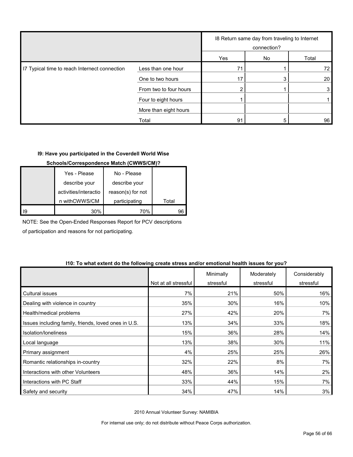|                                               |                        | 18 Return same day from traveling to Internet<br>connection? |    |       |
|-----------------------------------------------|------------------------|--------------------------------------------------------------|----|-------|
|                                               |                        | Yes                                                          | No | Total |
| I7 Typical time to reach Internect connection | Less than one hour     | 71                                                           |    | 72    |
|                                               | One to two hours       | 17                                                           |    | 20    |
|                                               | From two to four hours |                                                              |    | 3     |
|                                               | Four to eight hours    |                                                              |    |       |
|                                               | More than eight hours  |                                                              |    |       |
|                                               | Total                  | 91                                                           |    | 96    |

#### **I9: Have you participated in the Coverdell World Wise**

#### **Schools/Correspondence Match (CWWS/CM)?**

|    | Yes - Please          | No - Please       |       |
|----|-----------------------|-------------------|-------|
|    | describe your         | describe your     |       |
|    | activities/interactio | reason(s) for not |       |
|    | n withCWWS/CM         | participating     | Total |
| 19 | 30%                   | 70%               | 96    |

NOTE: See the Open-Ended Responses Report for PCV descriptions

of participation and reasons for not participating.

#### **I10: To what extent do the following create stress and/or emotional health issues for you?**

|                                                      |                      | Minimally | Moderately | Considerably |
|------------------------------------------------------|----------------------|-----------|------------|--------------|
|                                                      | Not at all stressful | stressful | stressful  | stressful    |
| Cultural issues                                      | 7%                   | 21%       | 50%        | 16%          |
| Dealing with violence in country                     | 35%                  | 30%       | 16%        | 10%          |
| Health/medical problems                              | 27%                  | 42%       | 20%        | 7%           |
| Issues including family, friends, loved ones in U.S. | 13%                  | 34%       | 33%        | 18%          |
| Isolation/Ioneliness                                 | 15%                  | 36%       | 28%        | 14%          |
| Local language                                       | 13%                  | 38%       | 30%        | 11%          |
| Primary assignment                                   | 4%                   | 25%       | 25%        | 26%          |
| Romantic relationships in-country                    | 32%                  | 22%       | 8%         | 7% l         |
| Interactions with other Volunteers                   | 48%                  | 36%       | 14%        | 2%           |
| Interactions with PC Staff                           | 33%                  | 44%       | 15%        | 7%           |
| Safety and security                                  | 34%                  | 47%       | 14%        | 3%           |

2010 Annual Volunteer Survey: NAMIBIA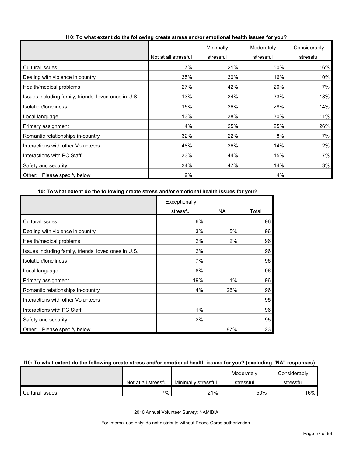|                                                      |                      | Minimally | Moderately | Considerably |
|------------------------------------------------------|----------------------|-----------|------------|--------------|
|                                                      | Not at all stressful | stressful | stressful  | stressful    |
| Cultural issues                                      | 7%                   | 21%       | 50%        | 16%          |
| Dealing with violence in country                     | 35%                  | 30%       | 16%        | 10%          |
| Health/medical problems                              | 27%                  | 42%       | 20%        | 7%           |
| Issues including family, friends, loved ones in U.S. | 13%                  | 34%       | 33%        | 18%          |
| Isolation/Ioneliness                                 | 15%                  | 36%       | 28%        | 14%          |
| Local language                                       | 13%                  | 38%       | 30%        | 11%          |
| Primary assignment                                   | 4%                   | 25%       | 25%        | 26%          |
| Romantic relationships in-country                    | 32%                  | 22%       | 8%         | 7%           |
| Interactions with other Volunteers                   | 48%                  | 36%       | 14%        | 2%           |
| Interactions with PC Staff                           | 33%                  | 44%       | 15%        | 7%           |
| Safety and security                                  | 34%                  | 47%       | 14%        | 3%           |
| Other:<br>Please specify below                       | 9%                   |           | 4%         |              |

#### **I10: To what extent do the following create stress and/or emotional health issues for you?**

#### **I10: To what extent do the following create stress and/or emotional health issues for you?**

|                                                      | Exceptionally |     |       |
|------------------------------------------------------|---------------|-----|-------|
|                                                      | stressful     | NA. | Total |
| Cultural issues                                      | 6%            |     | 96    |
| Dealing with violence in country                     | 3%            | 5%  | 96    |
| Health/medical problems                              | 2%            | 2%  | 96    |
| Issues including family, friends, loved ones in U.S. | 2%            |     | 96    |
| Isolation/loneliness                                 | 7%            |     | 96    |
| Local language                                       | 8%            |     | 96    |
| Primary assignment                                   | 19%           | 1%  | 96    |
| Romantic relationships in-country                    | 4%            | 26% | 96    |
| Interactions with other Volunteers                   |               |     | 95    |
| Interactions with PC Staff                           | 1%            |     | 96    |
| Safety and security                                  | 2%            |     | 95    |
| Please specify below<br>Other:                       |               | 87% | 23    |

#### **I10: To what extent do the following create stress and/or emotional health issues for you? (excluding "NA" responses)**

|                 |                      |                     | Moderately | Considerably |
|-----------------|----------------------|---------------------|------------|--------------|
|                 | Not at all stressful | Minimally stressful | stressful  | stressful    |
| Cultural issues | 7%                   | 21%                 | 50%        | $16\%$       |

2010 Annual Volunteer Survey: NAMIBIA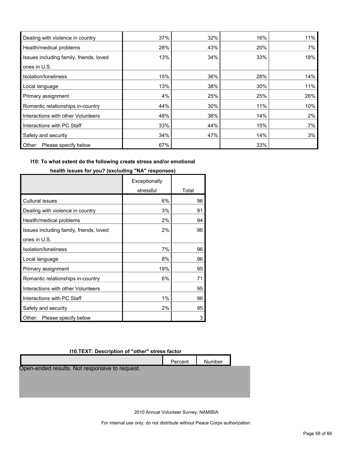| Dealing with violence in country        | 37% | 32% | 16% | 11% |
|-----------------------------------------|-----|-----|-----|-----|
| Health/medical problems                 | 28% | 43% | 20% | 7%  |
| Issues including family, friends, loved | 13% | 34% | 33% | 18% |
| ones in U.S.                            |     |     |     |     |
| Isolation/loneliness                    | 15% | 36% | 28% | 14% |
| Local language                          | 13% | 38% | 30% | 11% |
| Primary assignment                      | 4%  | 25% | 25% | 26% |
| Romantic relationships in-country       | 44% | 30% | 11% | 10% |
| Interactions with other Volunteers      | 48% | 36% | 14% | 2%  |
| Interactions with PC Staff              | 33% | 44% | 15% | 7%  |
| Safety and security                     | 34% | 47% | 14% | 3%  |
| Please specify below<br>Other:          | 67% |     | 33% |     |

#### **I10: To what extent do the following create stress and/or emotional**

|                                         | Exceptionally |       |
|-----------------------------------------|---------------|-------|
|                                         | stressful     | Total |
| <b>Cultural issues</b>                  | 6%            | 96    |
| Dealing with violence in country        | 3%            | 91    |
| Health/medical problems                 | 2%            | 94    |
| Issues including family, friends, loved | 2%            | 96    |
| ones in U.S.                            |               |       |
| Isolation/Ioneliness                    | 7%            | 96    |
| Local language                          | 8%            | 96    |
| Primary assignment                      | 19%           | 95    |
| Romantic relationships in-country       | 6%            | 71    |
| Interactions with other Volunteers      |               | 95    |
| Interactions with PC Staff              | 1%            | 96    |
| Safety and security                     | 2%            | 95    |
| Other:<br>Please specify below          |               | 3     |

#### **health issues for you? (excluding "NA" responses)**

#### **I10.TEXT: Description of "other" stress factor**

|                                                | Percent | Number |
|------------------------------------------------|---------|--------|
| Open-ended results. Not responsive to request. |         |        |
|                                                |         |        |
|                                                |         |        |

2010 Annual Volunteer Survey: NAMIBIA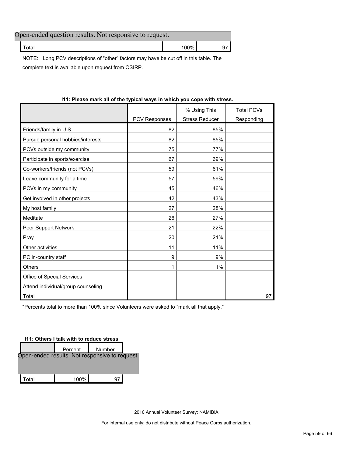| Open-ended question results. Not responsive to request. |           |  |  |  |  |  |
|---------------------------------------------------------|-----------|--|--|--|--|--|
| Гоtal                                                   | $100\%$ . |  |  |  |  |  |

NOTE: Long PCV descriptions of "other" factors may have be cut off in this table. The complete text is available upon request from OSIRP.

|                      | % Using This          | <b>Total PCVs</b> |
|----------------------|-----------------------|-------------------|
| <b>PCV Responses</b> | <b>Stress Reducer</b> | Responding        |
| 82                   | 85%                   |                   |
| 82                   | 85%                   |                   |
| 75                   | 77%                   |                   |
| 67                   | 69%                   |                   |
| 59                   | 61%                   |                   |
| 57                   | 59%                   |                   |
| 45                   | 46%                   |                   |
| 42                   | 43%                   |                   |
| 27                   | 28%                   |                   |
| 26                   | 27%                   |                   |
| 21                   | 22%                   |                   |
| 20                   | 21%                   |                   |
| 11                   | 11%                   |                   |
| 9                    | 9%                    |                   |
| 1                    | 1%                    |                   |
|                      |                       |                   |
|                      |                       |                   |
|                      |                       | 97                |
|                      |                       |                   |

#### **I11: Please mark all of the typical ways in which you cope with stress.**

\*Percents total to more than 100% since Volunteers were asked to "mark all that apply."

#### **I11: Others I talk with to reduce stress**

|                                                | Percent | Number |  |
|------------------------------------------------|---------|--------|--|
| Open-ended results. Not responsive to request. |         |        |  |
|                                                |         |        |  |
| Total                                          | 100%    |        |  |

2010 Annual Volunteer Survey: NAMIBIA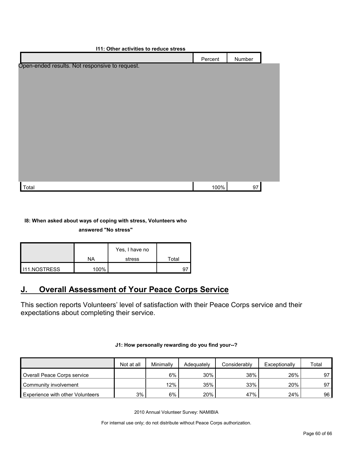| <b>111: Other activities to reduce stress</b>  |         |        |  |  |  |
|------------------------------------------------|---------|--------|--|--|--|
|                                                | Percent | Number |  |  |  |
| Open-ended results. Not responsive to request. |         |        |  |  |  |
|                                                |         |        |  |  |  |
|                                                |         |        |  |  |  |
|                                                |         |        |  |  |  |
|                                                |         |        |  |  |  |
|                                                |         |        |  |  |  |
|                                                |         |        |  |  |  |
|                                                |         |        |  |  |  |
|                                                |         |        |  |  |  |
|                                                |         |        |  |  |  |
|                                                |         |        |  |  |  |
|                                                |         |        |  |  |  |
|                                                |         |        |  |  |  |
|                                                |         |        |  |  |  |
| Total                                          | 100%    | 97     |  |  |  |

#### **I8: When asked about ways of coping with stress, Volunteers who**

**answered "No stress"** 

|                       |         | Yes, I have no |       |
|-----------------------|---------|----------------|-------|
|                       | NA      | stress         | Total |
| <b>I</b> I11.NOSTRESS | $100\%$ |                |       |

# <span id="page-59-0"></span>**J. Overall Assessment of Your Peace Corps Service**

This section reports Volunteers' level of satisfaction with their Peace Corps service and their expectations about completing their service.

|                                         | Not at all | Minimally | Adequately | Considerably | Exceptionally | Total |
|-----------------------------------------|------------|-----------|------------|--------------|---------------|-------|
| Overall Peace Corps service             |            | 6%        | 30%        | 38%          | 26%           | 97    |
| Community involvement                   |            | 12%       | 35%        | 33%          | 20%           | 97    |
| <b>Experience with other Volunteers</b> | 3%         | $6\%$     | 20%        | 47%          | 24%           | 96    |

#### **J1: How personally rewarding do you find your--?**

2010 Annual Volunteer Survey: NAMIBIA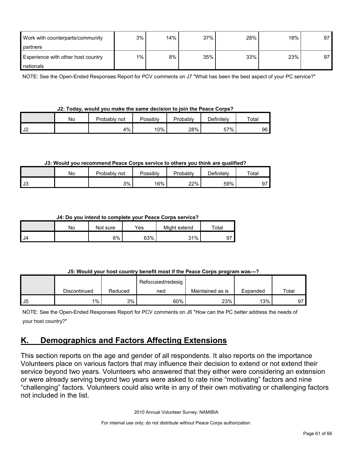| Work with counterparts/community   | 3%    | 14% | 37% | 28% | 18% | 97 |
|------------------------------------|-------|-----|-----|-----|-----|----|
| partners                           |       |     |     |     |     |    |
| Experience with other host country | $1\%$ | 8%  | 35% | 33% | 23% | 97 |
| nationals                          |       |     |     |     |     |    |

NOTE: See the Open-Ended Responses Report for PCV comments on J7 "What has been the best aspect of your PC service?"

|  | J2: Today, would you make the same decision to join the Peace Corps? |  |  |  |  |  |
|--|----------------------------------------------------------------------|--|--|--|--|--|
|  |                                                                      |  |  |  |  |  |

|               | Nο | Probably not | Possiblv | <b>Probably</b> | <b>Definitely</b> | $\tau$ otal |  |
|---------------|----|--------------|----------|-----------------|-------------------|-------------|--|
| $\sim$<br>ے ت |    | 4%           | 10%      | 28%             | 57%               | 96 I        |  |

#### **J3: Would you recommend Peace Corps service to others you think are qualified?**

|                 | No | Probably not | Possibly<br>Probably |     | Definitelv | Total |  |
|-----------------|----|--------------|----------------------|-----|------------|-------|--|
| $\sim$<br>- ს ა |    | 3%           | 16%                  | 22% | 59%        | ູ     |  |

#### **J4: Do you intend to complete your Peace Corps service?**

|      | No | Not sure | Yes | Might extend | Total |
|------|----|----------|-----|--------------|-------|
| l J4 |    | 6%       | 63% | 31%          | 9.    |

#### **J5: Would your host country benefit most if the Peace Corps program was---?**

|    |              |         | Refocused/redesig |                  |          |       |
|----|--------------|---------|-------------------|------------------|----------|-------|
|    | Discontinued | Reduced | ned               | Maintained as is | Expanded | Total |
| J5 | $1\%$        | 3%      | 60%               | 23%              | 13%      | 97    |

NOTE: See the Open-Ended Responses Report for PCV comments on J6 "How can the PC better address the needs of your host country?"

# <span id="page-60-0"></span>**K. Demographics and Factors Affecting Extensions**

This section reports on the age and gender of all respondents. It also reports on the importance Volunteers place on various factors that may influence their decision to extend or not extend their service beyond two years. Volunteers who answered that they either were considering an extension or were already serving beyond two years were asked to rate nine "motivating" factors and nine "challenging" factors. Volunteers could also write in any of their own motivating or challenging factors not included in the list.

2010 Annual Volunteer Survey: NAMIBIA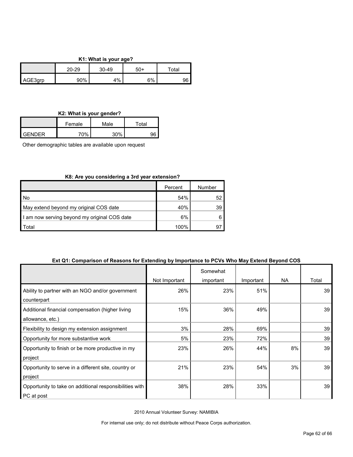#### **K1: What is your age?**

|         | 20-29 | 30-49 | 50+ | $\tau$ otal |  |
|---------|-------|-------|-----|-------------|--|
| AGE3qrp | 90%   | 4%    | 6%  | 96          |  |

#### **K2: What is your gender?**

|            | Female | Male | ™otal |
|------------|--------|------|-------|
| $I$ GENDER | 70%    | 30%  | ne    |

Other demographic tables are available upon request

#### **K8: Are you considering a 3rd year extension?**

|                                              | Percent | Number |
|----------------------------------------------|---------|--------|
| No                                           | 54%     | 52     |
| May extend beyond my original COS date       | 40%     | 39     |
| I am now serving beyond my original COS date | 6%      |        |
| Total                                        | 100%    | 97     |

#### **Ext Q1: Comparison of Reasons for Extending by Importance to PCVs Who May Extend Beyond COS**

|                                                         |               | Somewhat  |           |     |       |
|---------------------------------------------------------|---------------|-----------|-----------|-----|-------|
|                                                         | Not Important | important | Important | NA. | Total |
| Ability to partner with an NGO and/or government        | 26%           | 23%       | 51%       |     | 39    |
| counterpart                                             |               |           |           |     |       |
| Additional financial compensation (higher living        | 15%           | 36%       | 49%       |     | 39    |
| allowance, etc.)                                        |               |           |           |     |       |
| Flexibility to design my extension assignment           | 3%            | 28%       | 69%       |     | 39    |
| Opportunity for more substantive work                   | 5%            | 23%       | 72%       |     | 39    |
| Opportunity to finish or be more productive in my       | 23%           | 26%       | 44%       | 8%  | 39    |
| project                                                 |               |           |           |     |       |
| Opportunity to serve in a different site, country or    | 21%           | 23%       | 54%       | 3%  | 39    |
| project                                                 |               |           |           |     |       |
| Opportunity to take on additional responsibilities with | 38%           | 28%       | 33%       |     | 39    |
| PC at post                                              |               |           |           |     |       |

2010 Annual Volunteer Survey: NAMIBIA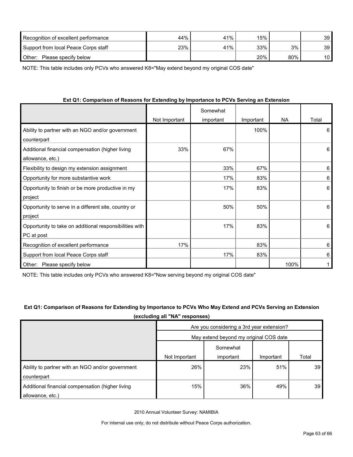| Recognition of excellent performance | 44% | 41% | 15% |     | 39 |
|--------------------------------------|-----|-----|-----|-----|----|
| Support from local Peace Corps staff | 23% | 41% | 33% | 3%  | 39 |
| Other:<br>Please specify below       |     |     | 20% | 80% | 10 |

NOTE: This table includes only PCVs who answered K8="May extend beyond my original COS date"

| $\alpha$ , which is a computation of the construction of the computation of the contrary will construct the construction of the construction of the construction of the construction of the construction of the construction of th | Not Important | Somewhat<br>important | Important | <b>NA</b> | Total |
|------------------------------------------------------------------------------------------------------------------------------------------------------------------------------------------------------------------------------------|---------------|-----------------------|-----------|-----------|-------|
| Ability to partner with an NGO and/or government                                                                                                                                                                                   |               |                       | 100%      |           | 6     |
| counterpart                                                                                                                                                                                                                        |               |                       |           |           |       |
| Additional financial compensation (higher living                                                                                                                                                                                   | 33%           | 67%                   |           |           | 6     |
| allowance, etc.)                                                                                                                                                                                                                   |               |                       |           |           |       |
| Flexibility to design my extension assignment                                                                                                                                                                                      |               | 33%                   | 67%       |           | 6     |
| Opportunity for more substantive work                                                                                                                                                                                              |               | 17%                   | 83%       |           | 6     |
| Opportunity to finish or be more productive in my                                                                                                                                                                                  |               | 17%                   | 83%       |           | 6     |
| project                                                                                                                                                                                                                            |               |                       |           |           |       |
| Opportunity to serve in a different site, country or                                                                                                                                                                               |               | 50%                   | 50%       |           | 6     |
| project                                                                                                                                                                                                                            |               |                       |           |           |       |
| Opportunity to take on additional responsibilities with                                                                                                                                                                            |               | 17%                   | 83%       |           | 6     |
| PC at post                                                                                                                                                                                                                         |               |                       |           |           |       |
| Recognition of excellent performance                                                                                                                                                                                               | 17%           |                       | 83%       |           | 6     |
| Support from local Peace Corps staff                                                                                                                                                                                               |               | 17%                   | 83%       |           | 6     |
| Please specify below<br>Other:                                                                                                                                                                                                     |               |                       |           | 100%      |       |

#### **Ext Q1: Comparison of Reasons for Extending by Importance to PCVs Serving an Extension**

NOTE: This table includes only PCVs who answered K8="Now serving beyond my original COS date"

#### **Ext Q1: Comparison of Reasons for Extending by Importance to PCVs Who May Extend and PCVs Serving an Extension (excluding all "NA" responses)**

|                                                  | Are you considering a 3rd year extension? |           |           |       |  |  |
|--------------------------------------------------|-------------------------------------------|-----------|-----------|-------|--|--|
|                                                  | May extend beyond my original COS date    |           |           |       |  |  |
|                                                  |                                           | Somewhat  |           |       |  |  |
|                                                  | Not Important                             | important | Important | Total |  |  |
| Ability to partner with an NGO and/or government | 26%                                       | 23%       | 51%       | 39    |  |  |
| counterpart                                      |                                           |           |           |       |  |  |
| Additional financial compensation (higher living | 15%                                       | 36%       | 49%       | 39    |  |  |
| allowance, etc.)                                 |                                           |           |           |       |  |  |

2010 Annual Volunteer Survey: NAMIBIA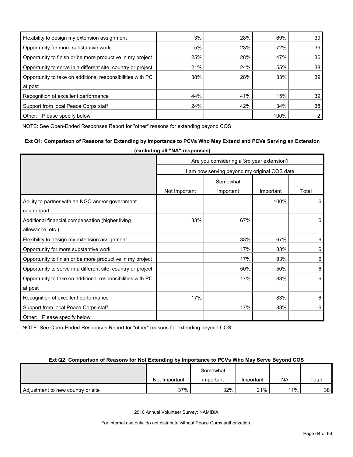| Flexibility to design my extension assignment                | 3%  | 28% | 69%  | 39             |
|--------------------------------------------------------------|-----|-----|------|----------------|
| Opportunity for more substantive work                        | 5%  | 23% | 72%  | 39             |
| Opportunity to finish or be more productive in my project    | 25% | 28% | 47%  | 36             |
| Opportunity to serve in a different site, country or project | 21% | 24% | 55%  | 38             |
| Opportunity to take on additional responsibilities with PC   | 38% | 28% | 33%  | 39             |
| at post                                                      |     |     |      |                |
| Recognition of excellent performance                         | 44% | 41% | 15%  | 39             |
| Support from local Peace Corps staff                         | 24% | 42% | 34%  | 38             |
| Other:<br>Please specify below                               |     |     | 100% | $\overline{2}$ |

NOTE: See Open-Ended Responses Report for "other" reasons for extending beyond COS

#### **Ext Q1: Comparison of Reasons for Extending by Importance to PCVs Who May Extend and PCVs Serving an Extension (excluding all "NA" responses)**

|                                                              | Are you considering a 3rd year extension?    |           |           |         |  |  |
|--------------------------------------------------------------|----------------------------------------------|-----------|-----------|---------|--|--|
|                                                              | I am now serving beyond my original COS date |           |           |         |  |  |
|                                                              | Somewhat                                     |           |           |         |  |  |
|                                                              | Not Important                                | important | Important | Total   |  |  |
| Ability to partner with an NGO and/or government             |                                              |           | 100%      | 6       |  |  |
| counterpart                                                  |                                              |           |           |         |  |  |
| Additional financial compensation (higher living             | 33%                                          | 67%       |           | 6       |  |  |
| allowance, etc.)                                             |                                              |           |           |         |  |  |
| Flexibility to design my extension assignment                |                                              | 33%       | 67%       | 6       |  |  |
| Opportunity for more substantive work                        |                                              | 17%       | 83%       | 6       |  |  |
| Opportunity to finish or be more productive in my project    |                                              | 17%       | 83%       | $\,6\,$ |  |  |
| Opportunity to serve in a different site, country or project |                                              | 50%       | 50%       | 6       |  |  |
| Opportunity to take on additional responsibilities with PC   |                                              | 17%       | 83%       | 6       |  |  |
| at post                                                      |                                              |           |           |         |  |  |
| Recognition of excellent performance                         | 17%                                          |           | 83%       | 6       |  |  |
| Support from local Peace Corps staff                         |                                              | 17%       | 83%       | 6       |  |  |
| Other: Please specify below                                  |                                              |           |           |         |  |  |

NOTE: See Open-Ended Responses Report for "other" reasons for extending beyond COS

#### **Ext Q2: Comparison of Reasons for Not Extending by Importance to PCVs Who May Serve Beyond COS**

|                                   | Somewhat      |           |           |     |       |
|-----------------------------------|---------------|-----------|-----------|-----|-------|
|                                   | Not Important | important | Important | NA  | Total |
| Adjustment to new country or site | 37%           | 32%       | 21%       | 11% | 38    |

2010 Annual Volunteer Survey: NAMIBIA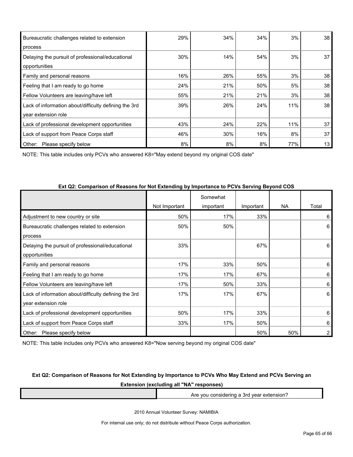| Bureaucratic challenges related to extension          | 29% | 34% | 34% | 3%  | 38 |
|-------------------------------------------------------|-----|-----|-----|-----|----|
| process                                               |     |     |     |     |    |
| Delaying the pursuit of professional/educational      | 30% | 14% | 54% | 3%  | 37 |
| opportunities                                         |     |     |     |     |    |
| Family and personal reasons                           | 16% | 26% | 55% | 3%  | 38 |
| Feeling that I am ready to go home                    | 24% | 21% | 50% | 5%  | 38 |
| Fellow Volunteers are leaving/have left               | 55% | 21% | 21% | 3%  | 38 |
| Lack of information about/difficulty defining the 3rd | 39% | 26% | 24% | 11% | 38 |
| year extension role                                   |     |     |     |     |    |
| Lack of professional development opportunities        | 43% | 24% | 22% | 11% | 37 |
| Lack of support from Peace Corps staff                | 46% | 30% | 16% | 8%  | 37 |
| Other:<br>Please specify below                        | 8%  | 8%  | 8%  | 77% | 13 |

NOTE: This table includes only PCVs who answered K8="May extend beyond my original COS date"

|                                                       |               | Somewhat  |           |           |       |
|-------------------------------------------------------|---------------|-----------|-----------|-----------|-------|
|                                                       | Not Important | important | Important | <b>NA</b> | Total |
| Adjustment to new country or site                     | 50%           | 17%       | 33%       |           | 6     |
| Bureaucratic challenges related to extension          | 50%           | 50%       |           |           | 6     |
| process                                               |               |           |           |           |       |
| Delaying the pursuit of professional/educational      | 33%           |           | 67%       |           | 6     |
| opportunities                                         |               |           |           |           |       |
| Family and personal reasons                           | 17%           | 33%       | 50%       |           | 6     |
| Feeling that I am ready to go home                    | 17%           | 17%       | 67%       |           | 6     |
| Fellow Volunteers are leaving/have left               | 17%           | 50%       | 33%       |           | 6     |
| Lack of information about/difficulty defining the 3rd | 17%           | 17%       | 67%       |           | 6     |
| year extension role                                   |               |           |           |           |       |
| Lack of professional development opportunities        | 50%           | 17%       | 33%       |           | 6     |
| Lack of support from Peace Corps staff                | 33%           | 17%       | 50%       |           | 6     |
| Other:<br>Please specify below                        |               |           | 50%       | 50%       | 2     |

#### **Ext Q2: Comparison of Reasons for Not Extending by Importance to PCVs Serving Beyond COS**

NOTE: This table includes only PCVs who answered K8="Now serving beyond my original COS date"

#### **Ext Q2: Comparison of Reasons for Not Extending by Importance to PCVs Who May Extend and PCVs Serving an**

**Extension (excluding all "NA" responses)**

Are you considering a 3rd year extension?

2010 Annual Volunteer Survey: NAMIBIA